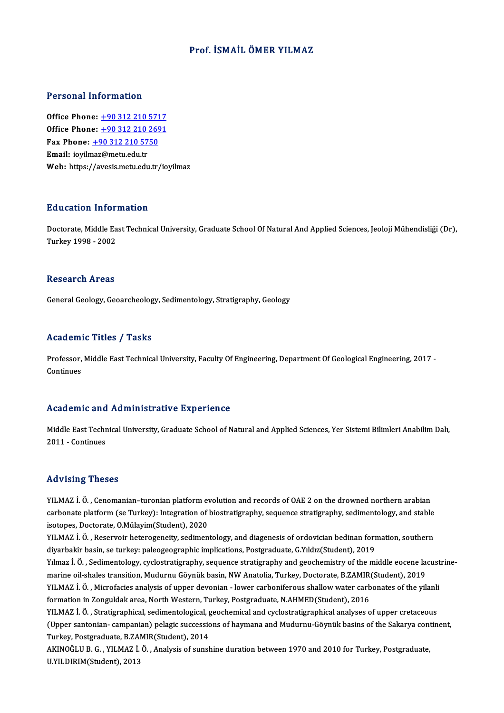### Prof. İSMAİLÖMER YILMAZ

### Personal Information

Office Phone: +90 312 210 5717 Office Phone: <u>+90 312 210 5717</u><br>Office Phone: <u>+90 312 210 2691</u><br>Fax Phone: 190 312 210 5750 Office Phone: <u>+90 312 210 571</u><br>Office Phone: <u>+90 312 210 269</u><br>Fax Phone: <u>+90 312 210 5750</u> Office Phone: <u>+90 312 210<br>Fax Phone: +90 312 210 57</u><br>Email: ioyil[maz@metu.edu.tr](tel:+90 312 210 5750) Fax Phone: <u>+90 312 210 5750</u><br>Email: ioyilmaz@metu.edu.tr<br>Web: https://avesis.metu.edu.tr/ioyilmaz

### Education Information

**Education Information**<br>Doctorate, Middle East Technical University, Graduate School Of Natural And Applied Sciences, Jeoloji Mühendisliği (Dr),<br>Turkey 1998 - 2002 24 dealers 1110<br>Doctorate, Middle Ea<br>Turkey 1998 - 2002 Turkey 1998 - 2002<br>Research Areas

General Geology, Geoarcheology, Sedimentology, Stratigraphy, Geology

### Academic Titles / Tasks

Academic Titles / Tasks<br>Professor, Middle East Technical University, Faculty Of Engineering, Department Of Geological Engineering, 2017 -<br>Continues Professor,<br>Continues

# Academic and Administrative Experience

Academic and Administrative Experience<br>Middle East Technical University, Graduate School of Natural and Applied Sciences, Yer Sistemi Bilimleri Anabilim Dalı,<br>2011 - Continues Middle East Techn<br>2011 - Continues

# 2011 - Continues<br>Advising Theses

Advising Theses<br>YILMAZ İ. Ö. , Cenomanian–turonian platform evolution and records of OAE 2 on the drowned northern arabian<br>sarbonate platform (se Turkey): Integration of biostratisranhy, sequence stratisranhy, sedimenteleg rra violing infoded<br>YILMAZ İ. Ö. , Cenomanian–turonian platform evolution and records of OAE 2 on the drowned northern arabian<br>carbonate platform (se Turkey): Integration of biostratigraphy, sequence stratigraphy, sediment YILMAZ İ. Ö. , Cenomanian–turonian platform evarbonate platform (se Turkey): Integration of<br>isotopes, Doctorate, O.Mülayim(Student), 2020<br>VILMAZ İ. Ö. - Peserveir beteroseneity, sedimen carbonate platform (se Turkey): Integration of biostratigraphy, sequence stratigraphy, sedimentology, and stable<br>isotopes, Doctorate, O.Mülayim(Student), 2020<br>YILMAZ İ. Ö. , Reservoir heterogeneity, sedimentology, and diag

isotopes, Doctorate, O.Mülayim(Student), 2020<br>YILMAZ İ. Ö. , Reservoir heterogeneity, sedimentology, and diagenesis of ordovician bedinan formation, southern<br>diyarbakir basin, se turkey: paleogeographic implications, Postg YILMAZ İ. Ö. , Reservoir heterogeneity, sedimentology, and diagenesis of ordovician bedinan formation, southern<br>diyarbakir basin, se turkey: paleogeographic implications, Postgraduate, G.Yıldız(Student), 2019<br>Yılmaz İ. Ö. diyarbakir basin, se turkey: paleogeographic implications, Postgraduate, G.Yıldız(Student), 2019<br>Yılmaz İ. Ö. , Sedimentology, cyclostratigraphy, sequence stratigraphy and geochemistry of the middle eocene la<br>marine oil-sh Yılmaz İ. Ö. , Sedimentology, cyclostratigraphy, sequence stratigraphy and geochemistry of the middle eocene lacust<br>marine oil-shales transition, Mudurnu Göynük basin, NW Anatolia, Turkey, Doctorate, B.ZAMIR(Student), 2019 marine oil-shales transition, Mudurnu Göynük basin, NW Anatolia, Turkey, Doctorate, B.ZAMIR<br>YILMAZ İ. Ö. , Microfacies analysis of upper devonian - lower carboniferous shallow water carb<br>formation in Zonguldak area, North YILMAZ İ. Ö. , Microfacies analysis of upper devonian - lower carboniferous shallow water carbonates of the yilanli<br>formation in Zonguldak area, North Western, Turkey, Postgraduate, N.AHMED(Student), 2016<br>YILMAZ İ. Ö. , St formation in Zonguldak area, North Western, Turkey, Postgraduate, N.AHMED(Student), 2016<br>YILMAZ İ. Ö. , Stratigraphical, sedimentological, geochemical and cyclostratigraphical analyses of upper cretaceous<br>(Upper santonian-YILMAZ İ. Ö. , Stratigraphical, sedimentological, <sub>{</sub><br>(Upper santonian- campanian) pelagic successic<br>Turkey, Postgraduate, B.ZAMIR(Student), 2014<br>AKINOČLU B. G., YU MAZ İ. Ö., Analysis of sunsk

(Upper santonian- campanian) pelagic successions of haymana and Mudurnu-Göynük basins of the Sakarya cont<br>Turkey, Postgraduate, B.ZAMIR(Student), 2014<br>AKINOĞLU B. G. , YILMAZ İ. Ö. , Analysis of sunshine duration between 1 Turkey, Postgraduate, B.ZAMIR(Student), 2014<br>AKINOĞLU B. G. , YILMAZ İ. Ö. , Analysis of sunshine duration between 1970 and 2010 for Turkey, Postgraduate,<br>U.YILDIRIM(Student), 2013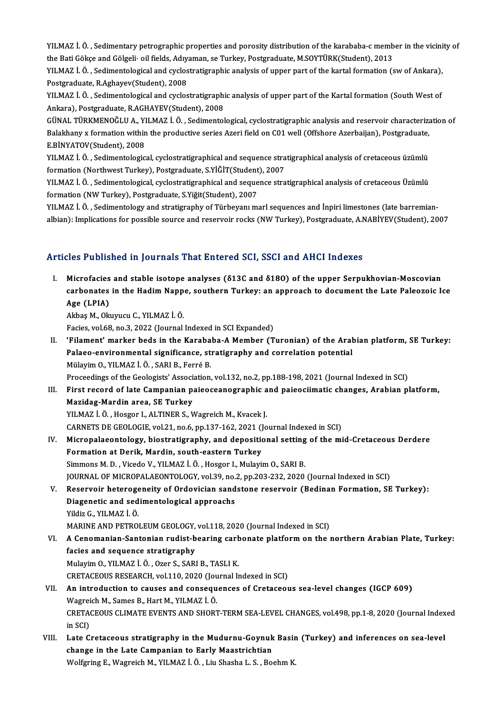YILMAZ İ. Ö. , Sedimentary petrographic properties and porosity distribution of the karababa-c member in the vicinity of<br>the Pati Gälses and Gälseli, eil fields. Advannan, se Tyrkey, Bestansduste, M SOVTÜBK(Stydent), 2012 YILMAZ İ. Ö. , Sedimentary petrographic properties and porosity distribution of the karababa-c memb<br>the Bati Gökçe and Gölgeli· oil fields, Adıyaman, se Turkey, Postgraduate, M.SOYTÜRK(Student), 2013<br>VILMAZ İ. Ö., Sediment YILMAZ İ. Ö. , Sedimentary petrographic properties and porosity distribution of the karababa-c member in the vicini<br>the Bati Gökçe and Gölgeli• oil fields, Adıyaman, se Turkey, Postgraduate, M.SOYTÜRK(Student), 2013<br>YILMAZ

the Bati Gökçe and Gölgeli• oil fields, Adıyaman, se Turkey, Postgraduate, M.SOYTÜRK(Student), 2013<br>YILMAZ İ. Ö. , Sedimentological and cyclostratigraphic analysis of upper part of the kartal formation (sw of Ankara),<br>Post YILMAZ İ. Ö. , Sedimentological and cyclostratigraphic analysis of upper part of the kartal formation (sw of Ankara),<br>Postgraduate, R.Aghayev(Student), 2008<br>YILMAZ İ. Ö. , Sedimentological and cyclostratigraphic analysis o

Postgraduate, R.Aghayev(Student), 2008<br>YILMAZ İ. Ö. , Sedimentological and cyclostratigraphi<br>Ankara), Postgraduate, R.AGHAYEV(Student), 2008<br>CÜNAL TÜRKMENOĞLU A. YU MAZ İ. Ö. Sedimentel YILMAZ İ. Ö. , Sedimentological and cyclostratigraphic analysis of upper part of the Kartal formation (South West of<br>Ankara), Postgraduate, R.AGHAYEV(Student), 2008<br>GÜNAL TÜRKMENOĞLU A., YILMAZ İ. Ö. , Sedimentological, cy

Ankara), Postgraduate, R.AGHAYEV(Student), 2008<br>GÜNAL TÜRKMENOĞLU A., YILMAZ İ. Ö. , Sedimentological, cyclostratigraphic analysis and reservoir characteriza<br>Balakhany x formation within the productive series Azeri field o GÜNAL TÜRKMENOĞLU A., YI<br>Balakhany x formation within<br>E.BİNYATOV(Student), 2008<br>YU MAZ İ. Ö., Sodimantalasısı Balakhany x formation within the productive series Azeri field on C01 well (Offshore Azerbaijan), Postgraduate,<br>E.BİNYATOV(Student), 2008<br>YILMAZ İ. Ö. , Sedimentological, cyclostratigraphical and sequence stratigraphical a

E.BİNYATOV(Student), 2008<br>YILMAZ İ. Ö. , Sedimentological, cyclostratigraphical and sequence stra<br>formation (Northwest Turkey), Postgraduate, S.YİĞİT(Student), 2007<br>YU MAZ İ. Ö., Sedimentelegisel, syelestratisyanhisel and YILMAZ İ. Ö. , Sedimentological, cyclostratigraphical and sequence stratigraphical analysis of cretaceous üzümlü<br>formation (Northwest Turkey), Postgraduate, S.YİĞİT(Student), 2007<br>YILMAZ İ. Ö. , Sedimentological, cyclostra

formation (Northwest Turkey), Postgraduate, S.YİĞİT(Student), 2007<br>YILMAZ İ. Ö. , Sedimentological, cyclostratigraphical and sequence stratigraphical analysis of cretaceous Üzümlü<br>formation (NW Turkey), Postgraduate, S.Yiğ YILMAZ İ. Ö. , Sedimentological, cyclostratigraphical and sequence stratigraphical analysis of cretaceous Üzümlü<br>formation (NW Turkey), Postgraduate, S.Yiğit(Student), 2007<br>YILMAZ İ. Ö. , Sedimentology and stratigraphy of

formation (NW Turkey), Postgraduate, S.Yiğit(Student), 2007<br>YILMAZ İ. Ö. , Sedimentology and stratigraphy of Türbeyanı marl sequences and İnpiri limestones (late barremian<br>albian): Implications for possible source and rese albian): Implications for possible source and reservoir rocks (NW Turkey), Postgraduate, A.NABİYEV(Student), 2007<br>Articles Published in Journals That Entered SCI, SSCI and AHCI Indexes

I. Microfacies and stable isotope analyses (δ13C and δ18O) of the upper Serpukhovian-Moscovian carbonates and stable isotope analyses (813C and 8180) of the upper Serpukhovian-Moscovian<br>carbonates in the Hadim Nappe, southern Turkey: an approach to document the Late Paleozoic Ice<br>Age (LBIA) Microfacies<br>carbonates<br>Age (LPIA) carbonates in the Hadim Napp<br>Age (LPIA)<br>Akbaş M., Okuyucu C., YILMAZ İ.Ö.<br>Fasise vol 69 no 2 2022 (Journal

Age (LPIA)<br>Akbaş M., Okuyucu C., YILMAZ İ. Ö.<br>Facies, vol.68, no.3, 2022 (Journal Indexed in SCI Expanded)

Akbaş M., Okuyucu C., YILMAZ İ. Ö.<br>Facies, vol.68, no.3, 2022 (Journal Indexed in SCI Expanded)<br>II. 'Filament' marker beds in the Karababa-A Member (Turonian) of the Arabian platform, SE Turkey:<br>Pelace, environmental s Facies, vol.68, no.3, 2022 (Journal Indexed in SCI Expanded)<br>'Filament' marker beds in the Karababa-A Member (Turonian) of the Aral<br>Palaeo-environmental significance, stratigraphy and correlation potential<br>Mülayim O, VII M Palaeo-environmental significance, stratigraphy and correlation potential Mülayim O., YILMAZ İ.Ö., SARI B., Ferré B.

Proceedings of the Geologists' Association, vol.132, no.2, pp.188-198, 2021 (Journal Indexed in SCI)

Mülayim O., YILMAZ İ. Ö. , SARI B., Ferré B.<br>Proceedings of the Geologists' Association, vol.132, no.2, pp.188-198, 2021 (Journal Indexed in SCI)<br>III. First record of late Campanian paieoceanographic and paieociimatic chan Mazidag-Mardin area, SE Turkey<br>YILMAZ İ. Ö., Hosgor I., ALTINER S., Wagreich M., Kvacek J. First record of late Campanian paieoceanographic a<br>Mazidag-Mardin area, SE Turkey<br>YILMAZ İ. Ö. , Hosgor I., ALTINER S., Wagreich M., Kvacek J.<br>CARNETS DE CEOLOCIE val 21 no 6 nn 127 162 2021 (Jo

CARNETS DE GEOLOGIE, vol.21, no.6, pp.137-162, 2021 (Journal Indexed in SCI)

- YILMAZ İ. Ö. , Hosgor I., ALTINER S., Wagreich M., Kvacek J.<br>CARNETS DE GEOLOGIE, vol.21, no.6, pp.137-162, 2021 (Journal Indexed in SCI)<br>IV. Micropalaeontology, biostratigraphy, and depositional setting of the mid-Cretace CARNETS DE GEOLOGIE, vol.21, no.6, pp.137-162, 2021 ()<br>Micropalaeontology, biostratigraphy, and deposition<br>Formation at Derik, Mardin, south-eastern Turkey<br>Simmons M. D. *Visede V. VII MAZ LÖ. Hossen L. Mulari* Formation at Derik, Mardin, south-eastern Turkey<br>Simmons M. D. , Vicedo V., YILMAZ İ. Ö. , Hosgor I., Mulayim O., SARI B. Formation at Derik, Mardin, south-eastern Turkey<br>Simmons M. D. , Vicedo V., YILMAZ İ. Ö. , Hosgor I., Mulayim O., SARI B.<br>JOURNAL OF MICROPALAEONTOLOGY, vol.39, no.2, pp.203-232, 2020 (Journal Indexed in SCI)<br>Beserveir hat Simmons M. D. , Vicedo V., YILMAZ İ. Ö. , Hosgor I., Mulayim O., SARI B.<br>JOURNAL OF MICROPALAEONTOLOGY, vol.39, no.2, pp.203-232, 2020 (Journal Indexed in SCI)<br>V. Reservoir heterogeneity of Ordovician sandstone reservoir (
- JOURNAL OF MICROPALAEONTOLOGY, vol.39, no.<br>Reservoir heterogeneity of Ordovician sand<br>Diagenetic and sedimentological approachs<br><sup>Vildie C. VII MA7 I. Ö</sub></sup> V. Reservoir heterogeneity of Ordovician sandstone reservoir (Bedinan Formation, SE Turkey):<br>Diagenetic and sedimentological approachs<br>Yildiz G., YILMAZ İ.Ö.

MARINE AND PETROLEUM GEOLOGY, vol.118, 2020 (Journal Indexed in SCI)

- Yildiz G., YILMAZ İ. Ö.<br>MARINE AND PETROLEUM GEOLOGY, vol.118, 2020 (Journal Indexed in SCI)<br>VI. A Cenomanian-Santonian rudist-bearing carbonate platform on the northern Arabian Plate, Turkey:<br>facies and sequence strat MARINE AND PETROLEUM GEOLOGY,<br>A Cenomanian-Santonian rudist-b<br>facies and sequence stratigraphy<br>Mulayim O, VII MAZ LÖ, OTORS, SARI A Cenomanian-Santonian rudist-bearing cart<br>facies and sequence stratigraphy<br>Mulayim O., YILMAZ İ. Ö. , Ozer S., SARI B., TASLI K.<br>CRETACEOUS RESEARCH vel 110, 2020 (Journal L facies and sequence stratigraphy<br>Mulayim O., YILMAZ İ. Ö. , Ozer S., SARI B., TASLI K.<br>CRETACEOUS RESEARCH, vol.110, 2020 (Journal Indexed in SCI) Mulayim O., YILMAZ İ. Ö. , Ozer S., SARI B., TASLI K.<br>CRETACEOUS RESEARCH, vol.110, 2020 (Journal Indexed in SCI)<br>VII. An introduction to causes and consequences of Cretaceous sea-level changes (IGCP 609)<br>Wagreich M. Sames
- CRETACEOUS RESEARCH, vol.110, 2020 (Jou<br>An introduction to causes and conseque<br>Wagreich M., Sames B., Hart M., YILMAZ İ. Ö.<br>CRETACEOUS CLIMATE EVENTS AND SHOPT An introduction to causes and consequences of Cretaceous sea-level changes (IGCP 609)<br>Wagreich M., Sames B., Hart M., YILMAZ İ. Ö.<br>CRETACEOUS CLIMATE EVENTS AND SHORT-TERM SEA-LEVEL CHANGES, vol.498, pp.1-8, 2020 (Journal Wagrei<br>CRETA<br>in SCI)<br>Lata C CRETACEOUS CLIMATE EVENTS AND SHORT-TERM SEA-LEVEL CHANGES, vol.498, pp.1-8, 2020 (Journal Index<br>in SCI)<br>VIII. Late Cretaceous stratigraphy in the Mudurnu-Goynuk Basin (Turkey) and inferences on sea-level<br>change in the Lat
- in SCI)<br>Late Cretaceous stratigraphy in the Mudurnu-Goynuk<br>change in the Late Campanian to Early Maastrichtian<br>Welfaring E. Wagneich M. VII MAZ İ. Ö. Liu Sheeba L. S. Be Late Cretaceous stratigraphy in the Mudurnu-Goynuk Basir<br>change in the Late Campanian to Early Maastrichtian<br>Wolfgring E., Wagreich M., YILMAZ İ. Ö. , Liu Shasha L. S. , Boehm K.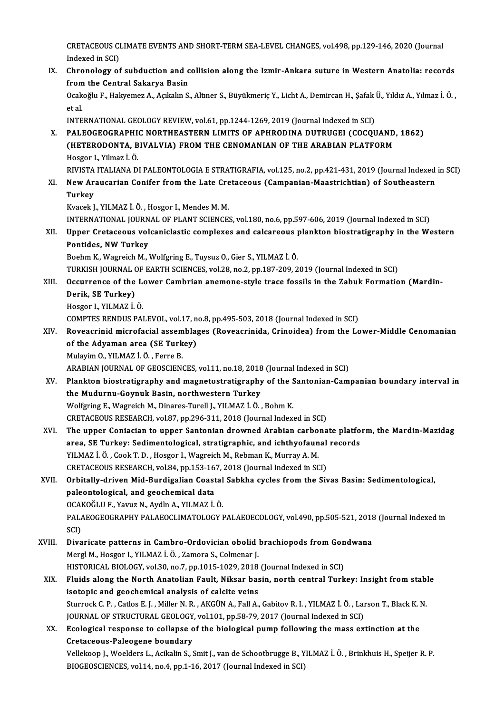CRETACEOUS CLIMATE EVENTS AND SHORT-TERM SEA-LEVEL CHANGES, vol.498, pp.129-146, 2020 (Journal CRETACEOUS CI<br>Indexed in SCI)<br>Chronology of CRETACEOUS CLIMATE EVENTS AND SHORT-TERM SEA-LEVEL CHANGES, vol.498, pp.129-146, 2020 (Journal<br>Indexed in SCI)<br>IX. Chronology of subduction and collision along the Izmir-Ankara suture in Western Anatolia: records<br>from the

Indexed in SCI)<br>Chronology of subduction and c<br>from the Central Sakarya Basin<br>Osakağlu E. Halvemez A. Asilylu S Chronology of subduction and collision along the Izmir-Ankara suture in Western Anatolia: records<br>from the Central Sakarya Basin<br>Ocakoğlu F., Hakyemez A., Açıkalın S., Altıner S., Büyükmeriç Y., Licht A., Demircan H., Şafa

from<br>Ocak<br>et al.<br>INTE Ocakoğlu F., Hakyemez A., Açıkalın S., Altıner S., Büyükmeriç Y., Licht A., Demircan H., Şafak |<br>et al.<br>INTERNATIONAL GEOLOGY REVIEW, vol.61, pp.1244-1269, 2019 (Journal Indexed in SCI)<br>PALEOCEOCP ARHIC NORTHEASTERN I IMIT

et al.<br>INTERNATIONAL GEOLOGY REVIEW, vol.61, pp.1244-1269, 2019 (Journal Indexed in SCI)<br>X. PALEOGEOGRAPHIC NORTHEASTERN LIMITS OF APHRODINA DUTRUGEI (COCQUAND, 1862)<br>CUETERODONTA, BIVALVIA) EROM THE CENOMANIAN OF THE ARAB INTERNATIONAL GEOLOGY REVIEW, vol.61, pp.1244-1269, 2019 (Journal Indexed in SCI)<br>PALEOGEOGRAPHIC NORTHEASTERN LIMITS OF APHRODINA DUTRUGEI (COCQUAND<br>(HETERODONTA, BIVALVIA) FROM THE CENOMANIAN OF THE ARABIAN PLATFORM<br>Hess

PALEOGEOGRAPHI<br>(HETERODONTA, B<br>Hosgor I., Yilmaz İ. Ö.<br>PIVISTA ITALIANA P (HETERODONTA, BIVALVIA) FROM THE CENOMANIAN OF THE ARABIAN PLATFORM<br>Hosgor I., Yilmaz İ. Ö.<br>RIVISTA ITALIANA DI PALEONTOLOGIA E STRATIGRAFIA, vol.125, no.2, pp.421-431, 2019 (Journal Indexed in SCI)<br>Navy Arausarian Canifar

Hosgor I., Yilmaz İ. Ö.<br>RIVISTA ITALIANA DI PALEONTOLOGIA E STRATIGRAFIA, vol.125, no.2, pp.421-431, 2019 (Journal Indexed<br>XI. New Araucarian Conifer from the Late Cretaceous (Campanian-Maastrichtian) of Southeastern<br>T RIVISTA<br>New Ar<br>Turkey<br><sup>Kuasak I</sup> XI. New Araucarian Conifer from the Late Cretaceous (Campanian-Maastrichtian) of Southeastern<br>Turkey<br>Kvacek J., YILMAZ İ.Ö., Hosgor I., Mendes M. M.

Turkey<br>Kvacek J., YILMAZ İ. Ö. , Hosgor I., Mendes M. M.<br>INTERNATIONAL JOURNAL OF PLANT SCIENCES, vol.180, no.6, pp.597-606, 2019 (Journal Indexed in SCI)<br>Unner Cretasseus volaenislestis sermleyes and salsareeus plankten b

XII. Upper Cretaceous volcaniclastic complexes and calcareous plankton biostratigraphy in the Western<br>Pontides, NW Turkey INTERNATIONAL JOURN<br>Upper Cretaceous vol<br>Pontides, NW Turkey<br>Pochm K. Worreich M. J Pontides, NW Turkey<br>Boehm K., Wagreich M., Wolfgring E., Tuysuz O., Gier S., YILMAZ İ. Ö.<br>TURKISH JOURNAL OF EARTH SCIENCES, vol.28, no.2, pp.187-209, 2019 (Journal Indexed in SCI)<br>Qosunnanga of the Lower Cambrian anomane

Boehm K., Wagreich M., Wolfgring E., Tuysuz O., Gier S., YILMAZ İ. Ö.

# Boehm K., Wagreich M., Wolfgring E., Tuysuz O., Gier S., YILMAZ İ. Ö.<br>TURKISH JOURNAL OF EARTH SCIENCES, vol.28, no.2, pp.187-209, 2019 (Journal Indexed in SCI)<br>XIII. Occurrence of the Lower Cambrian anemone-style trac TURKISH JOURNAL (<br>Occurrence of the<br>Derik, SE Turkey)<br>Hossor L YU MAZ İ **Occurrence of the Letter**<br>Derik, SE Turkey)<br>Hosgor I., YILMAZ İ.Ö.<br>COMPTES PENDUS PAL

Derik, SE Turkey)<br>Hosgor I., YILMAZ İ. Ö.<br>COMPTES RENDUS PALEVOL, vol.17, no.8, pp.495-503, 2018 (Journal Indexed in SCI)

### Hosgor I., YILMAZ İ. Ö.<br>COMPTES RENDUS PALEVOL, vol.17, no.8, pp.495-503, 2018 (Journal Indexed in SCI)<br>XIV. Roveacrinid microfacial assemblages (Roveacrinida, Crinoidea) from the Lower-Middle Cenomanian<br>of the Advaman COMPTES RENDUS PALEVOL, vol.17, n<br>Roveacrinid microfacial assemblag<br>of the Adyaman area (SE Turkey)<br>Mulayim O, VII MAZ LÖ, Ferre P Roveacrinid microfacial assem<br>of the Adyaman area (SE Turk<br>Mulayim O., YILMAZ İ.Ö. , Ferre B.<br>ARARIAN IQURNAL OF CEOSCIEN of the Adyaman area (SE Turkey)<br>Mulayim O., YILMAZ İ. Ö. , Ferre B.<br>ARABIAN JOURNAL OF GEOSCIENCES, vol.11, no.18, 2018 (Journal Indexed in SCI)

XV. Plankton biostratigraphy andmagnetostratigraphy of the Santonian-Campanian boundary interval in the Mudurnu-Goynuk Basin, northwestern Turkey Wolfgring E., Wagreich M., Dinares-Turell J., YILMAZ İ.Ö., Bohm K.

CRETACEOUS RESEARCH, vol.87, pp.296-311, 2018 (Journal Indexed in SCI)

Wolfgring E., Wagreich M., Dinares-Turell J., YILMAZ İ. Ö. , Bohm K.<br>CRETACEOUS RESEARCH, vol.87, pp.296-311, 2018 (Journal Indexed in SCI)<br>XVI. The upper Coniacian to upper Santonian drowned Arabian carbonate platform, th CRETACEOUS RESEARCH, vol.87, pp.296-311, 2018 (Journal Indexed in SCI)<br>The upper Coniacian to upper Santonian drowned Arabian carbonate platfo<br>area, SE Turkey: Sedimentological, stratigraphic, and ichthyofaunal records<br>VII The upper Coniacian to upper Santonian drowned Arabian carbo<br>area, SE Turkey: Sedimentological, stratigraphic, and ichthyofaun<br>YILMAZ İ. Ö., Cook T. D., Hosgor I., Wagreich M., Rebman K., Murray A. M.<br>CPETACEOUS PESEARCH v area, SE Turkey: Sedimentological, stratigraphic, and ichthyofaunal records<br>YILMAZ İ. Ö. , Cook T. D. , Hosgor I., Wagreich M., Rebman K., Murray A. M. CRETACEOUS RESEARCH, vol.84, pp.153-167, 2018 (Journal Indexed in SCI)

# XVII. Orbitally-driven Mid-Burdigalian Coastal Sabkha cycles from the Sivas Basin: Sedimentological, paleontological, and geochemical data Orbitally-driven Mid-Burdigalian Coastal<br>paleontological, and geochemical data<br>OCAKOĞLU F., Yavuz N., Aydln A., YILMAZ İ. Ö.<br>PALAEOCEOCRAPHY PALAEOCLIMATOLOCY I

PALAEOGEOGRAPHY PALAEOCLIMATOLOGY PALAEOECOLOGY, vol.490, pp.505-521, 2018 (Journal Indexed in SCI) OCAI<br>PAL*I*<br>SCI)<br>Divo PALAEOGEOGRAPHY PALAEOCLIMATOLOGY PALAEOECOLOGY, vol.490, pp.505-521, 2018<br>SCI)<br>XVIII. Divaricate patterns in Cambro-Ordovician obolid brachiopods from Gondwana<br>Morel M. Hosser L. XII MAZ İ. Ö. Zamara S. Colmanar L

# SCI)<br>Divaricate patterns in Cambro-Ordovician obolid |<br>Mergl M., Hosgor I., YILMAZ İ. Ö. , Zamora S., Colmenar J.<br>HISTORICAL RIQLOCY vel 30 no 7 nn 1915 1929-2019 Divaricate patterns in Cambro-Ordovician obolid brachiopods from Gon<br>Mergl M., Hosgor I., YILMAZ İ. Ö. , Zamora S., Colmenar J.<br>HISTORICAL BIOLOGY, vol.30, no.7, pp.1015-1029, 2018 (Journal Indexed in SCI)<br>Fluids along the

## Mergl M., Hosgor I., YILMAZ İ. Ö. , Zamora S., Colmenar J.<br>HISTORICAL BIOLOGY, vol.30, no.7, pp.1015-1029, 2018 (Journal Indexed in SCI)<br>XIX. Fluids along the North Anatolian Fault, Niksar basin, north central Turkey: HISTORICAL BIOLOGY, vol.30, no.7, pp.1015-1029, 2018 (Journal Indexed in SCI)<br>Fluids along the North Anatolian Fault, Niksar basin, north central Turkey: Insight from stabl<br>isotopic and geochemical analysis of calcite vein Fluids along the North Anatolian Fault, Niksar basin, north central Turkey: Insight from stablisotopic and geochemical analysis of calcite veins<br>Sturrock C. P. , Catlos E. J. , Miller N. R. , AKGÜN A., Fall A., Gabitov R. isotopic and geochemical analysis of calcite veins<br>Sturrock C. P. , Catlos E. J. , Miller N. R. , AKGÜN A., Fall A., Gabitov R. I. , YILMAZ İ. Ö. , Lar<br>JOURNAL OF STRUCTURAL GEOLOGY, vol.101, pp.58-79, 2017 (Journal Indexe

# XX. Ecological response to collapse of the biological pump following the mass extinction at the<br>Cretaceous-Paleogene boundary JOURNAL OF STRUCTURAL GEOLOGY<br>Ecological response to collapse of<br>Cretaceous-Paleogene boundary<br>Vellakeen L.Weelders L. Asikalin S. 1

Vellekoop J., Woelders L., Acikalin S., Smit J., van de Schootbrugge B., YILMAZ İ. Ö., Brinkhuis H., Speijer R. P. BIOGEOSCIENCES, vol.14, no.4, pp.1-16, 2017 (Journal Indexed in SCI)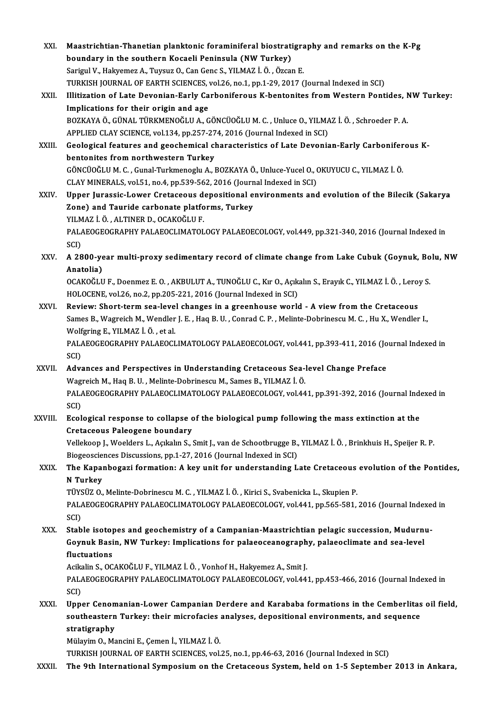| XXI.         | Maastrichtian-Thanetian planktonic foraminiferal biostratigraphy and remarks on the K-Pg                                                                                                    |
|--------------|---------------------------------------------------------------------------------------------------------------------------------------------------------------------------------------------|
|              | boundary in the southern Kocaeli Peninsula (NW Turkey)                                                                                                                                      |
|              | Sarigul V., Hakyemez A., Tuysuz O., Can Genc S., YILMAZ İ. Ö., Özcan E.                                                                                                                     |
|              | TURKISH JOURNAL OF EARTH SCIENCES, vol.26, no.1, pp.1-29, 2017 (Journal Indexed in SCI)                                                                                                     |
| XXII.        | Illitization of Late Devonian-Early Carboniferous K-bentonites from Western Pontides, NW Turkey:                                                                                            |
|              | Implications for their origin and age                                                                                                                                                       |
|              | BOZKAYA Ö., GÜNAL TÜRKMENOĞLU A., GÖNCÜOĞLU M. C. , Unluce O., YILMAZ İ. Ö. , Schroeder P. A.                                                                                               |
|              | APPLIED CLAY SCIENCE, vol.134, pp.257-274, 2016 (Journal Indexed in SCI)                                                                                                                    |
| XXIII.       | Geological features and geochemical characteristics of Late Devonian-Early Carboniferous K-                                                                                                 |
|              | bentonites from northwestern Turkey                                                                                                                                                         |
|              | GÖNCÜOĞLU M. C. , Gunal-Turkmenoglu A., BOZKAYA Ö., Unluce-Yucel O., OKUYUCU C., YILMAZ İ. Ö.                                                                                               |
|              | CLAY MINERALS, vol.51, no.4, pp.539-562, 2016 (Journal Indexed in SCI)                                                                                                                      |
| <b>XXIV</b>  | Upper Jurassic-Lower Cretaceous depositional environments and evolution of the Bilecik (Sakarya                                                                                             |
|              | Zone) and Tauride carbonate platforms, Turkey                                                                                                                                               |
|              | YILMAZ İ Ö , ALTINER D., OCAKOĞLU F.                                                                                                                                                        |
|              | PALAEOGEOGRAPHY PALAEOCLIMATOLOGY PALAEOECOLOGY, vol.449, pp.321-340, 2016 (Journal Indexed in<br>SCI)                                                                                      |
| XXV.         | A 2800-year multi-proxy sedimentary record of climate change from Lake Cubuk (Goynuk, Bolu, NW                                                                                              |
|              | Anatolia)                                                                                                                                                                                   |
|              | OCAKOĞLU F., Doenmez E. O., AKBULUT A., TUNOĞLU C., Kır O., Açıkalın S., Erayık C., YILMAZ İ. Ö., Leroy S.                                                                                  |
|              | HOLOCENE, vol.26, no.2, pp.205-221, 2016 (Journal Indexed in SCI)                                                                                                                           |
| XXVI.        | Review: Short-term sea-level changes in a greenhouse world - A view from the Cretaceous                                                                                                     |
|              | Sames B., Wagreich M., Wendler J. E., Haq B. U., Conrad C. P., Melinte-Dobrinescu M. C., Hu X., Wendler I.,                                                                                 |
|              | Wolfgring E, YILMAZ İ Ö, et al.                                                                                                                                                             |
|              | PALAEOGEOGRAPHY PALAEOCLIMATOLOGY PALAEOECOLOGY, vol.441, pp.393-411, 2016 (Journal Indexed in                                                                                              |
|              | SCI)                                                                                                                                                                                        |
| <b>XXVII</b> | Advances and Perspectives in Understanding Cretaceous Sea-level Change Preface                                                                                                              |
|              | Wagreich M., Haq B. U., Melinte-Dobrinescu M., Sames B., YILMAZ İ. Ö.                                                                                                                       |
|              | PALAEOGEOGRAPHY PALAEOCLIMATOLOGY PALAEOECOLOGY, vol.441, pp.391-392, 2016 (Journal Indexed in                                                                                              |
|              | SCI)                                                                                                                                                                                        |
| XXVIII.      | Ecological response to collapse of the biological pump following the mass extinction at the<br>Cretaceous Paleogene boundary                                                                |
|              | Vellekoop J., Woelders L., Açıkalın S., Smit J., van de Schootbrugge B., YILMAZ İ. Ö., Brinkhuis H., Speijer R. P.                                                                          |
|              | Biogeosciences Discussions, pp.1-27, 2016 (Journal Indexed in SCI)                                                                                                                          |
| XXIX.        | The Kapanbogazi formation: A key unit for understanding Late Cretaceous evolution of the Pontides,                                                                                          |
|              | N Turkey                                                                                                                                                                                    |
|              | TÜYSÜZ O., Melinte-Dobrinescu M. C., YILMAZ İ. Ö., Kirici S., Svabenicka L., Skupien P.                                                                                                     |
|              | PALAEOGEOGRAPHY PALAEOCLIMATOLOGY PALAEOECOLOGY, vol.441, pp.565-581, 2016 (Journal Indexed in                                                                                              |
|              | SCI)                                                                                                                                                                                        |
| XXX.         | Stable isotopes and geochemistry of a Campanian-Maastrichtian pelagic succession, Mudurnu-                                                                                                  |
|              | Goynuk Basin, NW Turkey: Implications for palaeoceanography, palaeoclimate and sea-level                                                                                                    |
|              | fluctuations                                                                                                                                                                                |
|              | Acikalin S., OCAKOĞLU F., YILMAZ İ. Ö., Vonhof H., Hakyemez A., Smit J.                                                                                                                     |
|              | PALAEOGEOGRAPHY PALAEOCLIMATOLOGY PALAEOECOLOGY, vol.441, pp.453-466, 2016 (Journal Indexed in                                                                                              |
|              | SCI)                                                                                                                                                                                        |
| XXXI.        | Upper Cenomanian-Lower Campanian Derdere and Karababa formations in the Cemberlitas oil field,                                                                                              |
|              | southeastern Turkey: their microfacies analyses, depositional environments, and sequence                                                                                                    |
|              | stratigraphy                                                                                                                                                                                |
|              | Mülayim O., Mancini E., Çemen İ., YILMAZ İ. Ö.                                                                                                                                              |
| XXXII.       | TURKISH JOURNAL OF EARTH SCIENCES, vol.25, no.1, pp.46-63, 2016 (Journal Indexed in SCI)<br>The 9th International Symposium on the Cretaceous System, held on 1-5 September 2013 in Ankara, |
|              |                                                                                                                                                                                             |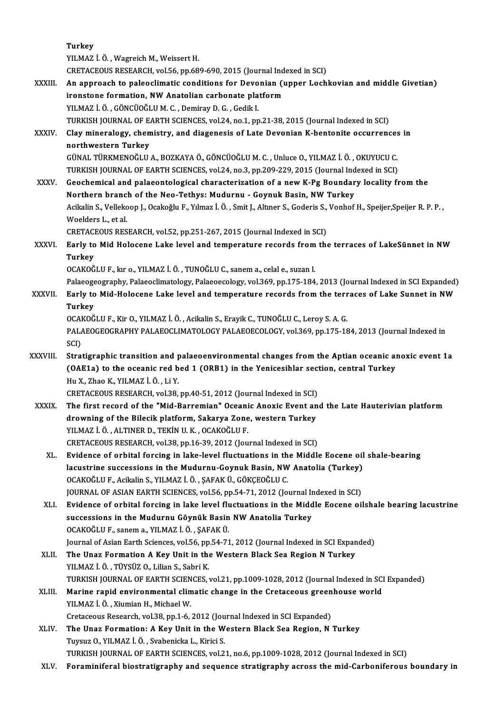**Turkey** YILMAZ İ. Ö., Wagreich M., Weissert H. CRETACEOUS RESEARCH, vol.56, pp.689-690, 2015 (Journal Indexed in SCI) YILMAZ İ. Ö. , Wagreich M., Weissert H.<br>CRETACEOUS RESEARCH, vol.56, pp.689-690, 2015 (Journal Indexed in SCI)<br>XXXIII. An approach to paleoclimatic conditions for Devonian (upper Lochkovian and middle Givetian) CRETACEOUS RESEARCH, vol.56, pp.689-690, 2015 (Journal Ind<br>An approach to paleoclimatic conditions for Devonian (in<br>ironstone formation, NW Anatolian carbonate platform<br>VII MAZI Ö. CÖNCÜQČLUM G. Domirav D.G. Codik L ironstone formation, NW Anatolian carbonate platform<br>YILMAZ İ.Ö., GÖNCÜOĞLUM.C., Demiray D.G., Gedik I. ironstone formation, NW Anatolian carbonate platform<br>YILMAZ İ. Ö. , GÖNCÜOĞLU M. C. , Demiray D. G. , Gedik I.<br>TURKISH JOURNAL OF EARTH SCIENCES, vol.24, no.1, pp.21-38, 2015 (Journal Indexed in SCI)<br>Clay minoralogy, chami YILMAZ İ. Ö. , GÖNCÜOĞLU M. C. , Demiray D. G. , Gedik I.<br>TURKISH JOURNAL OF EARTH SCIENCES, vol.24, no.1, pp.21-38, 2015 (Journal Indexed in SCI)<br>XXXIV. Clay mineralogy, chemistry, and diagenesis of Late Devonian K-be TURKISH JOURNAL OF E<br>Clay mineralogy, chen<br>northwestern Turkey<br>CÜNAL TÜRKMENOĞLU Clay mineralogy, chemistry, and diagenesis of Late Devonian K-bentonite occurrences<br>northwestern Turkey<br>GÜNAL TÜRKMENOĞLU A., BOZKAYA Ö., GÖNCÜOĞLU M. C. , Unluce O., YILMAZ İ. Ö. , OKUYUCU C.<br>TURKISH JOURNAL OF FARTH SCIE northwestern Turkey<br>GÜNAL TÜRKMENOĞLU A., BOZKAYA Ö., GÖNCÜOĞLU M. C. , Unluce O., YILMAZ İ. Ö. , OKUYUCU C. XXXV. Geochemical and palaeontological characterization of a new K-Pg Boundary locality from the<br>Northern branch of the Neo-Tethys: Mudurnu - Goynuk Basin, NW Turkey TURKISH JOURNAL OF EARTH SCIENCES, vol.24, no.3, pp.209-229, 2015 (Journal Indexed in SCI) Geochemical and palaeontological characterization of a new K-Pg Boundary locality from the<br>Northern branch of the Neo-Tethys: Mudurnu - Goynuk Basin, NW Turkey<br>Acikalin S., Vellekoop J., Ocakoğlu F., Yılmaz İ. Ö. , Smit J. **Northern branc<br>Acikalin S., Velleko<br>Woelders L., et al.<br>CRETACEOUS RES** Acikalin S., Vellekoop J., Ocakoğlu F., Yılmaz İ. Ö. , Smit J., Altıner S., Goderis S.,<br>Woelders L., et al.<br>CRETACEOUS RESEARCH, vol.52, pp.251-267, 2015 (Journal Indexed in SCI)<br>Farly to Mid Holosone J.eks level and tempe Woelders L., et al.<br>CRETACEOUS RESEARCH, vol.52, pp.251-267, 2015 (Journal Indexed in SCI)<br>XXXVI. Early to Mid Holocene Lake level and temperature records from the terraces of LakeSünnet in NW<br>Turkey CRETACEOUS RESEARCH, vol.52, pp.251-267, 2015 (Journal Indexed in SCI)<br>Early to Mid Holocene Lake level and temperature records from th<br>Turkey<br>OCAKOĞLU F., kır o., YILMAZ İ. Ö. , TUNOĞLU C., sanem a., celal e., suzan l. Early to Mid Holocene Lake level and temperature records from<br>Turkey<br>OCAKOĞLU F., kır o., YILMAZ İ.Ö. , TUNOĞLU C., sanem a., celal e., suzan l.<br>Pelseoggegraphy. Pelseoglimatelegy. Pelseoggelegy. vel 260 nn 175 194 Turkey<br>OCAKOĞLU F., kır o., YILMAZ İ. Ö. , TUNOĞLU C., sanem a., celal e., suzan l.<br>Parly te Mid Helesene Lake level and temperature resende from the terreses of Lake Suppet in NW. OCAKOĞLU F., kır o., YILMAZ İ. Ö. , TUNOĞLU C., sanem a., celal e., suzan l.<br>Palaeogeography, Palaeoclimatology, Palaeoecology, vol.369, pp.175-184, 2013 (Journal Indexed in SCI Expanded)<br>XXXVII. Early to Mid-Holocene Palaeoge<br><mark>Early to</mark><br>Turkey<br>OCAKOČ Early to Mid-Holocene Lake level and temperature records from the terr<br>Turkey<br>OCAKOĞLU F., Kir O., YILMAZ İ. Ö. , Acikalin S., Erayik C., TUNOĞLU C., Leroy S. A. G.<br>PALAEOCEOCRAPHY PALAEOCLIMATOLOCY PALAEOECOLOCY .val 360 Turkey<br>OCAKOĞLU F., Kir O., YILMAZ İ. Ö. , Acikalin S., Erayik C., TUNOĞLU C., Leroy S. A. G.<br>PALAEOGEOGRAPHY PALAEOCLIMATOLOGY PALAEOECOLOGY, vol.369, pp.175-184, 2013 (Journal Indexed in<br>SCD OCAI<br>PAL*I*<br>SCI)<br>Strai PALAEOGEOGRAPHY PALAEOCLIMATOLOGY PALAEOECOLOGY, vol.369, pp.175-184, 2013 (Journal Indexed in<br>SCI)<br>XXXVIII. Stratigraphic transition and palaeoenvironmental changes from the Aptian oceanic anoxic event 1a<br>(OAE1a) to the a SCI)<br>Stratigraphic transition and palaeoenvironmental changes from the Aptian oceanic al<br>(OAE1a) to the oceanic red bed 1 (ORB1) in the Yenicesihlar section, central Turkey<br>Hu Y. Zhae K. VII MAZ İ.Ö. Li Y. Stratigraphic transition and p<br>(OAE1a) to the oceanic red b<br>Hu X., Zhao K., YILMAZ İ.Ö., Li Y.<br>CPETACEOUS PESEAPCH vel 29 (OAE1a) to the oceanic red bed 1 (ORB1) in the Yenicesihlar sect<br>Hu X., Zhao K., YILMAZ İ. Ö., Li Y.<br>CRETACEOUS RESEARCH, vol.38, pp.40-51, 2012 (Journal Indexed in SCI)<br>The first resert of the "Mid Berremian" Oseanis Aner Hu X., Zhao K., YILMAZ İ. Ö. , Li Y.<br>CRETACEOUS RESEARCH, vol.38, pp.40-51, 2012 (Journal Indexed in SCI)<br>XXXIX. The first record of the "Mid-Barremian" Oceanic Anoxic Event and the Late Hauterivian platform<br>drowning of th CRETACEOUS RESEARCH, vol.38, pp.40-51, 2012 (Journal Indexed in SCI) YILMAZ İ.Ö., ALTINER D., TEKİN U.K., OCAKOĞLU F. CRETACEOUS RESEARCH, vol.38, pp.16-39, 2012 (Journal Indexed in SCI) XL. Evidence of orbital forcing in lake-level fluctuations in theMiddle Eocene oil shale-bearing CRETACEOUS RESEARCH, vol.38, pp.16-39, 2012 (Journal Indexed in SCI)<br>Evidence of orbital forcing in lake-level fluctuations in the Middle Eocene oil<br>lacustrine successions in the Mudurnu-Goynuk Basin, NW Anatolia (Turkey)<br> Evidence of orbital forcing in lake-level fluctuations in th<br>lacustrine successions in the Mudurnu-Goynuk Basin, NW<br>OCAKOĞLU F., Acikalin S., YILMAZ İ.Ö., ŞAFAK Ü., GÖKÇEOĞLU C.<br>JOUPNAL OF ASIAN FARTH SCIENCES .vel 56 np 5 lacustrine successions in the Mudurnu-Goynuk Basin, NW Anatolia (Turkey)<br>OCAKOĞLU F., Acikalin S., YILMAZ İ. Ö. , ŞAFAK Ü., GÖKÇEOĞLU C.<br>JOURNAL OF ASIAN EARTH SCIENCES, vol.56, pp.54-71, 2012 (Journal Indexed in SCI)<br>Fyid OCAKOĞLU F., Acikalin S., YILMAZ İ. Ö. , ŞAFAK Ü., GÖKÇEOĞLU C.<br>JOURNAL OF ASIAN EARTH SCIENCES, vol.56, pp.54-71, 2012 (Journal Indexed in SCI)<br>XLI. Evidence of orbital forcing in lake level fluctuations in the Middle JOURNAL OF ASIAN EARTH SCIENCES, vol.56, pp.54-71, 2012 (Journal In<br>Evidence of orbital forcing in lake level fluctuations in the Midd<br>successions in the Mudurnu Göynük Basin NW Anatolia Turkey<br>OCAKOČIJI E. sanoma, YUMAZİÖ Evidence of orbital forcing in lake level flux<br>successions in the Mudurnu Göynük Basin<br>OCAKOĞLU F., sanem a., YILMAZ İ.Ö., ŞAFAK Ü.<br>Journal of Asian Farth Ssianses val 56 nn 54.71 successions in the Mudurnu Göynük Basin NW Anatolia Turkey<br>OCAKOĞLU F., sanem a., YILMAZ İ. Ö. , ŞAFAK Ü.<br>Journal of Asian Earth Sciences, vol.56, pp.54-71, 2012 (Journal Indexed in SCI Expanded)<br>The Unay Formation A Koy U OCAKOĞLU F., sanem a., YILMAZ İ. Ö. , ŞAFAK Ü.<br>Journal of Asian Earth Sciences, vol.56, pp.54-71, 2012 (Journal Indexed in SCI Expan<br>XLII. The Unaz Formation A Key Unit in the Western Black Sea Region N Turkey<br>VILMAZ İ Journal of Asian Earth Sciences, vol.56, pp<br>The Unaz Formation A Key Unit in the<br>YILMAZ İ. Ö. , TÜYSÜZ O., Lilian S., Sabri K.<br>TURKISH JOURNAL OE FARTH SCIENCES The Unaz Formation A Key Unit in the Western Black Sea Region N Turkey<br>YILMAZ İ. Ö. , TÜYSÜZ O., Lilian S., Sabri K.<br>TURKISH JOURNAL OF EARTH SCIENCES, vol.21, pp.1009-1028, 2012 (Journal Indexed in SCI Expanded)<br>Marine ra YILMAZ İ. Ö. , TÜYSÜZ O., Lilian S., Sabri K.<br>TURKISH JOURNAL OF EARTH SCIENCES, vol.21, pp.1009-1028, 2012 (Journal Indexed in SCI<br>XLIII. Marine rapid environmental climatic change in the Cretaceous greenhouse world<br>VILMA TURKISH JOURNAL OF EARTH SCIEN<br>Marine rapid environmental clim<br>YILMAZ İ. Ö. , Xiumian H., Michael W.<br>Cratageous Besearsh vol 28 nn 1 6 Marine rapid environmental climatic change in the Cretaceous greenhouse world<br>YILMAZ İ. Ö. , Xiumian H., Michael W.<br>Cretaceous Research, vol.38, pp.1-6, 2012 (Journal Indexed in SCI Expanded) YILMAZ İ. Ö. , Xiumian H., Michael W.<br>Cretaceous Research, vol.38, pp.1-6, 2012 (Journal Indexed in SCI Expanded)<br>XLIV. The Unaz Formation: A Key Unit in the Western Black Sea Region, N Turkey<br>Twee O VII MAZ İ. Ö. Syabonis Cretaceous Research, vol.38, pp.1-6, 2012 (Jou<br>The Unaz Formation: A Key Unit in the W<br>Tuysuz O., YILMAZ İ. Ö. , Svabenicka L., Kirici S.<br>TURKISH JOURNAL OF FARTH SCIENCES, vol.2 Tuysuz O., YILMAZ İ. Ö. , Svabenicka L., Kirici S.<br>TURKISH JOURNAL OF EARTH SCIENCES, vol.21, no.6, pp.1009-1028, 2012 (Journal Indexed in SCI) XLV. Foraminiferal biostratigraphy and sequence stratigraphy across themid-Carboniferous boundary in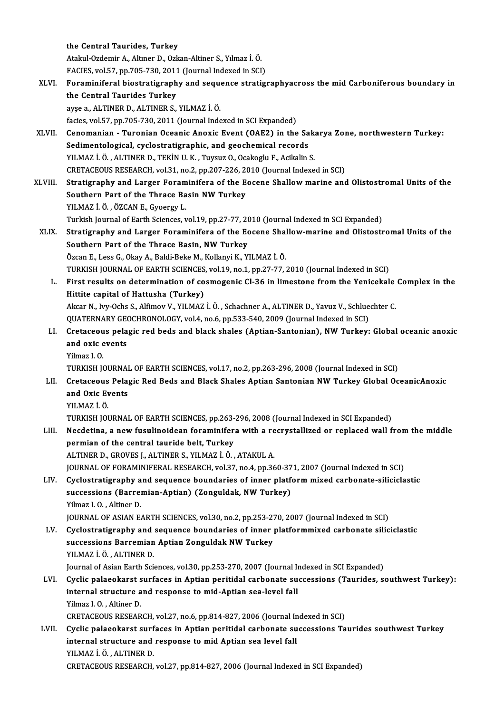the Central Taurides, Turkey Atakul-OzdemirA.,AltınerD.,Ozkan-Altiner S.,Yılmaz İ.Ö. FACIES, vol.57, pp.705-730, 2011 (Journal Indexed in SCI) Atakul-Ozdemir A., Altıner D., Ozkan-Altiner S., Yılmaz İ. Ö.<br>FACIES, vol.57, pp.705-730, 2011 (Journal Indexed in SCI)<br>XLVI. Foraminiferal biostratigraphy and sequence stratigraphyacross the mid Carboniferous boundary in<br> FACIES, vol.57, pp.705-730, 2011<br>Foraminiferal biostratigraph<br>the Central Taurides Turkey<br>avse a ALTINER D ALTINER S Foraminiferal biostratigraphy and seque<br>the Central Taurides Turkey<br>ayşe a., ALTINER D., ALTINER S., YILMAZ İ. Ö.<br>fasies vel 57.np 705.720.2011 (Journal Inde the Central Taurides Turkey<br>ayşe a., ALTINER D., ALTINER S., YILMAZ İ. Ö.<br>facies, vol.57, pp.705-730, 2011 (Journal Indexed in SCI Expanded) ayşe a., ALTINER D., ALTINER S., YILMAZ İ. Ö.<br>facies, vol.57, pp.705-730, 2011 (Journal Indexed in SCI Expanded)<br>XLVII. Cenomanian - Turonian Oceanic Anoxic Event (OAE2) in the Sakarya Zone, northwestern Turkey:<br>Sedime facies, vol.57, pp.705-730, 2011 (Journal Indexed in SCI Expanded)<br>Cenomanian - Turonian Oceanic Anoxic Event (OAE2) in the Sa<br>Sedimentological, cyclostratigraphic, and geochemical records<br>VILMAZI Ö. ALTINER D. TEKİN ILK, Sedimentological, cyclostratigraphic, and geochemical records<br>YILMAZ İ.Ö., ALTINER D., TEKİN U.K., Tuysuz O., Ocakoglu F., Acikalin S. Sedimentological, cyclostratigraphic, and geochemical records<br>YILMAZ İ. Ö. , ALTINER D., TEKİN U. K. , Tuysuz O., Ocakoglu F., Acikalin S.<br>CRETACEOUS RESEARCH, vol.31, no.2, pp.207-226, 2010 (Journal Indexed in SCI)<br>Strati XLVIII. Stratigraphy and Larger Foraminifera of the Eocene Shallow marine and Olistostromal Units of the Southern Part of the Thrace Basin NW Turkey CRETACEOUS RESEARCH, vol.31, no.2, pp.207-226, 20<br>Stratigraphy and Larger Foraminifera of the E<br>Southern Part of the Thrace Basin NW Turkey YILMAZ İ.Ö., ÖZCAN E., Gyoergy L. Southern Part of the Thrace Basin NW Turkey<br>YILMAZ İ. Ö. , ÖZCAN E., Gyoergy L.<br>Turkish Journal of Earth Sciences, vol.19, pp.27-77, 2010 (Journal Indexed in SCI Expanded)<br>Stratisranhy and Larser Fereminifere of the Fesene YILMAZ İ. Ö. , ÖZCAN E., Gyoergy L.<br>Turkish Journal of Earth Sciences, vol.19, pp.27-77, 2010 (Journal Indexed in SCI Expanded)<br>XLIX. Stratigraphy and Larger Foraminifera of the Eocene Shallow-marine and Olistostromal Unit Turkish Journal of Earth Sciences, vol.19, pp.27-77, 20<br>Stratigraphy and Larger Foraminifera of the Ec<br>Southern Part of the Thrace Basin, NW Turkey<br>Özgən E. Lees G. Olvu A. Baki Baka M. Kallanu K. Y. Stratigraphy and Larger Foraminifera of the Eocene Shal<br>Southern Part of the Thrace Basin, NW Turkey<br>Özcan E., Less G., Okay A., Baldi-Beke M., Kollanyi K., YILMAZ İ. Ö.<br>TURKISH JOURNAL OF FARTH SCIENCES VOL19 no 1 nn 27 7 Southern Part of the Thrace Basin, NW Turkey<br>Özcan E., Less G., Okay A., Baldi-Beke M., Kollanyi K., YILMAZ İ. Ö.<br>TURKISH JOURNAL OF EARTH SCIENCES, vol.19, no.1, pp.27-77, 2010 (Journal Indexed in SCI)<br>Finst results on da Özcan E., Less G., Okay A., Baldi-Beke M., Kollanyi K., YILMAZ İ. Ö.<br>TURKISH JOURNAL OF EARTH SCIENCES, vol.19, no.1, pp.27-77, 2010 (Journal Indexed in SCI)<br>L. First results on determination of cosmogenic Cl-36 in limesto TURKISH JOURNAL OF EARTH SCIENCES<br>First results on determination of co<br>Hittite capital of Hattusha (Turkey) First results on determination of cosmogenic Cl-36 in limestone from the Yenicekale<br>Hittite capital of Hattusha (Turkey)<br>Akcar N., Ivy-Ochs S., Alfimov V., YILMAZ İ.Ö. , Schachner A., ALTINER D., Yavuz V., Schluechter C.<br>Q Hittite capital of Hattusha (Turkey)<br>Akcar N., Ivy-Ochs S., Alfimov V., YILMAZ İ. Ö. , Schachner A., ALTINER D., Yavuz V., Schlue<br>QUATERNARY GEOCHRONOLOGY, vol.4, no.6, pp.533-540, 2009 (Journal Indexed in SCI)<br>Cretassous Akcar N., Ivy-Ochs S., Alfimov V., YILMAZ İ. Ö. , Schachner A., ALTINER D., Yavuz V., Schluechter C.<br>QUATERNARY GEOCHRONOLOGY, vol.4, no.6, pp.533-540, 2009 (Journal Indexed in SCI)<br>LI. Cretaceous pelagic red beds and blac QUATERNARY GEONER<br>Cretaceous pela<br>and oxic events<br>Vilmaz L.O Cretaceou<br>and oxic e<br>Yilmaz I. O.<br>TURKISH IC and oxic events<br>Yilmaz I. O.<br>TURKISH JOURNAL OF EARTH SCIENCES, vol.17, no.2, pp.263-296, 2008 (Journal Indexed in SCI)<br>Cretassous Belagis Bod Bods and Blask Shales Antian Santanian NW Turkey Clabel Oc Yilmaz I. O.<br>TURKISH JOURNAL OF EARTH SCIENCES, vol.17, no.2, pp.263-296, 2008 (Journal Indexed in SCI)<br>LII. Cretaceous Pelagic Red Beds and Black Shales Aptian Santonian NW Turkey Global OceanicAnoxic<br>and Ovic Events TURKISH JOURNAI<br>Cretaceous Pela<sub>l</sub><br>and Oxic Events<br><sup>VII MA7 i Ö</sub></sup> Cretaceous<br>and Oxic Ev<br>YILMAZ İ. Ö.<br>TURKISH IOI and Oxic Events<br>YILMAZ İ. Ö.<br>TURKISH JOURNAL OF EARTH SCIENCES, pp.263-296, 2008 (Journal Indexed in SCI Expanded) YILMAZ İ. Ö.<br>TURKISH JOURNAL OF EARTH SCIENCES, pp.263-296, 2008 (Journal Indexed in SCI Expanded)<br>LIII. Necdetina, a new fusulinoidean foraminifera with a recrystallized or replaced wall from the middle<br>normian of the con TURKISH JOURNAL OF EARTH SCIENCES, pp.263-<br>Necdetina, a new fusulinoidean foraminifer<br>permian of the central tauride belt, Turkey<br>ALTINED D. CROVES L.ALTINED S. VU MAZ L.Ö Necdetina, a new fusulinoidean foraminifera with a re<br>permian of the central tauride belt, Turkey<br>ALTINER D., GROVES J., ALTINER S., YILMAZ İ.Ö., ATAKUL A.<br>JOUPMAL OE EORAMINIEERAL RESEARCH vol 37 no.4 nn 36 permian of the central tauride belt, Turkey<br>ALTINER D., GROVES J., ALTINER S., YILMAZ İ. Ö. , ATAKUL A.<br>JOURNAL OF FORAMINIFERAL RESEARCH, vol.37, no.4, pp.360-371, 2007 (Journal Indexed in SCI)<br>Cyclostratisraphy and seque ALTINER D., GROVES J., ALTINER S., YILMAZ İ. Ö. , ATAKUL A.<br>JOURNAL OF FORAMINIFERAL RESEARCH, vol.37, no.4, pp.360-371, 2007 (Journal Indexed in SCI)<br>LIV. Cyclostratigraphy and sequence boundaries of inner platform mi JOURNAL OF FORAMINIFERAL RESEARCH, vol.37, no.4, pp.360-37<br>Cyclostratigraphy and sequence boundaries of inner platf<br>successions (Barremian-Aptian) (Zonguldak, NW Turkey)<br><sup>Vilmaz I. O., Altiner D.</sup> successions (Barremian-Aptian) (Zonguldak, NW Turkey)<br>Yilmaz I.O., Altiner D. successions (Barremian-Aptian) (Zonguldak, NW Turkey)<br>Yilmaz I. O. , Altiner D.<br>JOURNAL OF ASIAN EARTH SCIENCES, vol.30, no.2, pp.253-270, 2007 (Journal Indexed in SCI)<br>Cyclostratigraphy and sequence boundaries of inner pl Yilmaz I. O. , Altiner D.<br>JOURNAL OF ASIAN EARTH SCIENCES, vol.30, no.2, pp.253-270, 2007 (Journal Indexed in SCI)<br>LV. Cyclostratigraphy and sequence boundaries of inner platformmixed carbonate siliciclastic<br>sussessions Be JOURNAL OF ASIAN EARTH SCIENCES, vol.30, no.2, pp.253-2?<br>Cyclostratigraphy and sequence boundaries of inner<br>successions Barremian Aptian Zonguldak NW Turkey<br>VU MAZ İ Ö - ALTINER D Cyclostratigraphy and<br>successions Barremian<br>YILMAZ İ.Ö., ALTINER D.<br>Journal of Asian Farth Sai successions Barremian Aptian Zonguldak NW Turkey<br>YILMAZ İ. Ö. , ALTINER D.<br>Journal of Asian Earth Sciences, vol.30, pp.253-270, 2007 (Journal Indexed in SCI Expanded)<br>Cyclie palaeokaret surfaces in Antion peritidal sarbona YILMAZ İ. Ö. , ALTINER D.<br>Journal of Asian Earth Sciences, vol.30, pp.253-270, 2007 (Journal Indexed in SCI Expanded)<br>LVI. Cyclic palaeokarst surfaces in Aptian peritidal carbonate successions (Taurides, southwest Turk Journal of Asian Earth Sciences, vol.30, pp.253-270, 2007 (Journal I<br>Cyclic palaeokarst surfaces in Aptian peritidal carbonate su<br>internal structure and response to mid-Aptian sea-level fall<br>Vilmaz L.O., Altinar D. Cyclic palaeokarst s<br>internal structure a<br>Yilmaz I.O. , Altiner D.<br>CRETACEOUS RESEAR internal structure and response to mid-Aptian sea-level fall<br>Yilmaz I. O. , Altiner D.<br>CRETACEOUS RESEARCH, vol.27, no.6, pp.814-827, 2006 (Journal Indexed in SCI) Yilmaz I. O. , Altiner D.<br>CRETACEOUS RESEARCH, vol.27, no.6, pp.814-827, 2006 (Journal Indexed in SCI)<br>LVII. Cyclic palaeokarst surfaces in Aptian peritidal carbonate successions Taurides southwest Turkey<br>internal structur CRETACEOUS RESEARCH, vol.27, no.6, pp.814-827, 2006 (Journal I:<br>Cyclic palaeokarst surfaces in Aptian peritidal carbonate su<br>internal structure and response to mid Aptian sea level fall<br>VU MAZ LÖ ALTINER D Cyclic palaeokarst surf<br>internal structure and<br>YILMAZ İ. Ö. , ALTINER D.<br>CRETACEOUS RESEARCH internal structure and response to mid Aptian sea level fall<br>YILMAZ İ. Ö. , ALTINER D.<br>CRETACEOUS RESEARCH, vol.27, pp.814-827, 2006 (Journal Indexed in SCI Expanded)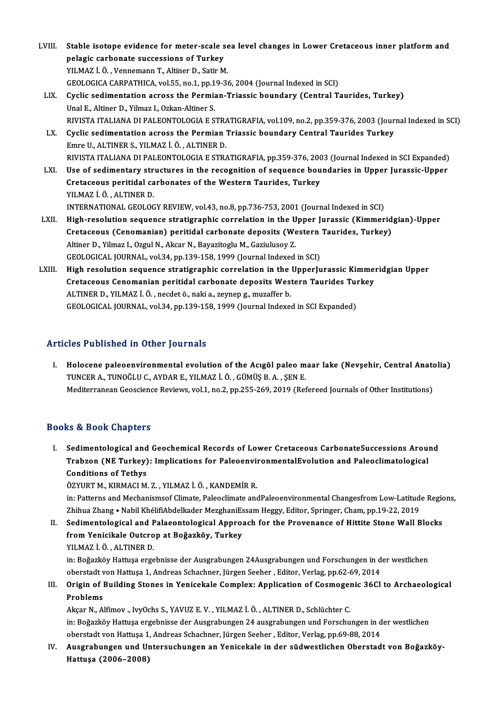| LVIII. | Stable isotope evidence for meter-scale sea level changes in Lower Cretaceous inner platform and           |
|--------|------------------------------------------------------------------------------------------------------------|
|        | pelagic carbonate successions of Turkey                                                                    |
|        | YILMAZ İ. Ö., Vennemann T., Altiner D., Satir M.                                                           |
|        | GEOLOGICA CARPATHICA, vol.55, no.1, pp.19-36, 2004 (Journal Indexed in SCI)                                |
| LIX.   | Cyclic sedimentation across the Permian-Triassic boundary (Central Taurides, Turkey)                       |
|        | Unal E., Altiner D., Yilmaz I., Ozkan-Altiner S.                                                           |
|        | RIVISTA ITALIANA DI PALEONTOLOGIA E STRATIGRAFIA, vol.109, no.2, pp.359-376, 2003 (Journal Indexed in SCI) |
| LX.    | Cyclic sedimentation across the Permian Triassic boundary Central Taurides Turkey                          |
|        | Emre U., ALTINER S., YILMAZ İ. Ö., ALTINER D.                                                              |
|        | RIVISTA ITALIANA DI PALEONTOLOGIA E STRATIGRAFIA, pp.359-376, 2003 (Journal Indexed in SCI Expanded)       |
| LXI.   | Use of sedimentary structures in the recognition of sequence boundaries in Upper Jurassic-Upper            |
|        | Cretaceous peritidal carbonates of the Western Taurides, Turkey                                            |
|        | YILMAZ İ Ö , ALTINER D                                                                                     |
|        | INTERNATIONAL GEOLOGY REVIEW, vol.43, no.8, pp.736-753, 2001 (Journal Indexed in SCI)                      |
| LXII.  | High-resolution sequence stratigraphic correlation in the Upper Jurassic (Kimmeridgian)-Upper              |
|        | Cretaceous (Cenomanian) peritidal carbonate deposits (Western Taurides, Turkey)                            |
|        | Altiner D., Yilmaz I., Ozgul N., Akcar N., Bayazitoglu M., Gaziulusoy Z.                                   |
|        | GEOLOGICAL JOURNAL, vol.34, pp.139-158, 1999 (Journal Indexed in SCI)                                      |
| LXIII. | High resolution sequence stratigraphic correlation in the UpperJurassic Kimmeridgian Upper                 |
|        | Cretaceous Cenomanian peritidal carbonate deposits Western Taurides Turkey                                 |
|        | ALTINER D., YILMAZ İ. Ö., necdet ö., naki a., zeynep g., muzaffer b.                                       |

GEOLOGICAL JOURNAL, vol.34, pp.139-158, 1999 (Journal Indexed in SCI Expanded)

### Articles Published in Other Journals

rticles Published in Other Journals<br>I. Holocene paleoenvironmental evolution of the Acıgöl paleo maar lake (Nevşehir, Central Anatolia)<br>TINGER A. TINOČLU.C. AVDAR E. VII MAZ İ. Ö. CÜMÜS R.A., SEN E. TUS TUSHSHEU IN CENSI JOUTHULS<br>Holocene paleoenvironmental evolution of the Acıgöl paleo m<br>TUNCER A., TUNOĞLU C., AYDAR E., YILMAZ İ. Ö. , GÜMÜŞ B. A. , ŞEN E.<br>Mediterranean Ceassianse Beviews vol 1 no 2 nn 255 260 2019 (P Holocene paleoenvironmental evolution of the Acıgöl paleo maar lake (Nevşehir, Central Anato<br>TUNCER A., TUNOĞLU C., AYDAR E., YILMAZ İ. Ö. , GÜMÜŞ B. A. , ŞEN E.<br>Mediterranean Geoscience Reviews, vol.1, no.2, pp.255-269, 2 Mediterranean Geoscience Reviews, vol.1, no.2, pp.255-269, 2019 (Refereed Journals of Other Institutions)<br>Books & Book Chapters

ooks & Book Chapters<br>I. Sedimentological and Geochemical Records of Lower Cretaceous CarbonateSuccessions Around<br>Trabren (NE Turkey): Implications for PelegenvironmentalEvolution and Pelegelimatelogical to & Book emapters<br>Sedimentological and Geochemical Records of Lower Cretaceous CarbonateSuccessions Arou:<br>Trabzon (NE Turkey): Implications for PaleoenvironmentalEvolution and Paleoclimatological Sedimentological and<br>Trabzon (NE Turkey)<br>Conditions of Tethys<br>ÖZVUPT M. KIPMACLM Trabzon (NE Turkey): Implications for PaleoenvironmentalEvolution and Paleoclimatological<br>Conditions of Tethys<br>ÖZYURT M., KIRMACI M. Z. , YILMAZ İ. Ö. , KANDEMİR R.

Conditions of Tethys<br>ÖZYURT M., KIRMACI M. Z. , YILMAZ İ. Ö. , KANDEMİR R.<br>in: Patterns and Mechanismsof Climate, Paleoclimate andPaleoenvironmental Changesfrom Low-Latitude Regions,<br>Zhibua Zhang e Nabil KhálifiAbdelkader ÖZYURT M., KIRMACI M. Z. , YILMAZ İ. Ö. , KANDEMİR R.<br>in: Patterns and Mechanismsof Climate, Paleoclimate andPaleoenvironmental Changesfrom Low-Latitud<br>Zhihua Zhang • Nabil KhélifiAbdelkader MezghaniEssam Heggy, Editor, Sp in: Patterns and Mechanismsof Climate, Paleoclimate and Paleoenvironmental Changesfrom Low-Latitude Regional A<br>Zhihua Zhang • Nabil KhélifiAbdelkader MezghaniEssam Heggy, Editor, Springer, Cham, pp.19-22, 2019<br>II. Sediment

Zhihua Zhang • Nabil KhélifiAbdelkader MezghaniEs<br>Sedimentological and Palaeontological Approa<br>from Yenicikale Outcrop at Boğazköy, Turkey<br>YUMAZİÖ ALTINER D Sedimentological and F<br>from Yenicikale Outcro<br>YILMAZ İ. Ö. , ALTINER D.<br>in: Beğerköy Hattuce erge

from Yenicikale Outcrop at Boğazköy, Turkey<br>YILMAZ İ. Ö. , ALTINER D.<br>in: Boğazköy Hattuşa ergebnisse der Ausgrabungen 24Ausgrabungen und Forschungen in der westlichen<br>eberstedt von Hattuse 1. Andrees Schachner Jürgen Seeb YILMAZ İ. Ö. , ALTINER D.<br>in: Boğazköy Hattuşa ergebnisse der Ausgrabungen 24Ausgrabungen und Forschungen in d<br>oberstadt von Hattuşa 1, Andreas Schachner, Jürgen Seeher , Editor, Verlag, pp.62-69, 2014<br>Origin of Building S in: Boğazköy Hattuşa ergebnisse der Ausgrabungen 24Ausgrabungen und Forschungen in der westlichen<br>oberstadt von Hattuşa 1, Andreas Schachner, Jürgen Seeher , Editor, Verlag, pp.62-69, 2014<br>III. Origin of Building Stones in

oberstadt v<br>Origin of l<br>Problems<br>Akeer N Al Origin of Building Stones in Yenicekale Complex: Application of Cosmoger<br>Problems<br>Akçar N., Alfimov ., IvyOchs S., YAVUZ E. V. , YILMAZ İ. Ö. , ALTINER D., Schlüchter C.<br>in: Boğazkäy Hattuse ersebnisse der Ausgrebunger 24

Problems<br>Akçar N., Alfimov ., IvyOchs S., YAVUZ E. V. , YILMAZ İ. Ö. , ALTINER D., Schlüchter C.<br>in: Boğazköy Hattuşa ergebnisse der Ausgrabungen 24 ausgrabungen und Forschungen in der westlichen Akçar N., Alfimov ., IvyOchs S., YAVUZ E. V. , YILMAZ İ. Ö. , ALTINER D., Schlüchter C.<br>in: Boğazköy Hattuşa ergebnisse der Ausgrabungen 24 ausgrabungen und Forschungen in d<br>oberstadt von Hattuşa 1, Andreas Schachner, Jürg

IV. Ausgrabungen und Untersuchungen an Yenicekale in der südwestlichen Oberstadt von Boğazköyoberstadt von Hattuşa 1<br>Ausgrabungen und U1<br>Hattuşa (2006–2008)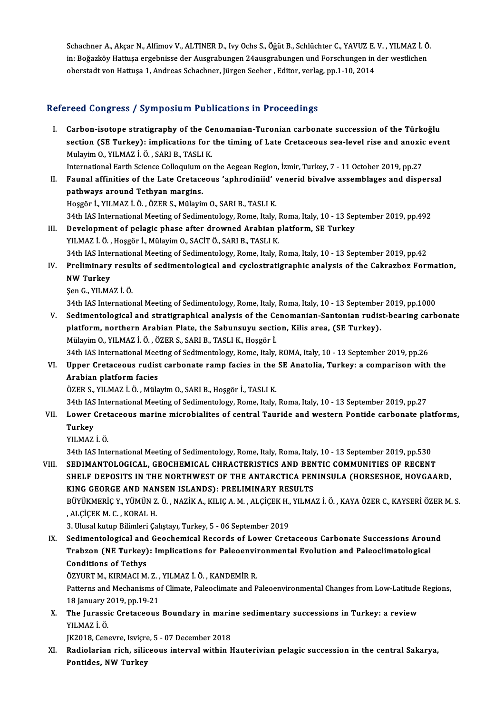Schachner A., Akçar N., Alfimov V., ALTINER D., Ivy Ochs S., Öğüt B., Schlüchter C., YAVUZ E. V. , YILMAZ İ. Ö.<br>İn: Boğazköy Hattuse ersebnisse der Aussrabungen 24eussrabungen und Eersebungen in der westlisben. Schachner A., Akçar N., Alfimov V., ALTINER D., Ivy Ochs S., Öğüt B., Schlüchter C., YAVUZ E. V. , YILMAZ İ. Ö<br>in: Boğazköy Hattuşa ergebnisse der Ausgrabungen 24ausgrabungen und Forschungen in der westlichen Schachner A., Akçar N., Alfimov V., ALTINER D., Ivy Ochs S., Öğüt B., Schlüchter C., YAVUZ E.<br>in: Boğazköy Hattuşa ergebnisse der Ausgrabungen 24ausgrabungen und Forschungen in<br>oberstadt von Hattuşa 1, Andreas Schachner, J oberstadt von Hattuşa 1, Andreas Schachner, Jürgen Seeher , Editor, verlag, pp.1-10, 2014<br>Refereed Congress / Symposium Publications in Proceedings

efereed Congress / Symposium Publications in Proceedings<br>I. Carbon-isotope stratigraphy of the Cenomanian-Turonian carbonate succession of the Türkoğlu<br>Section (SE Turkov): implications for the timing of Late Cretaceous se section (SE Turkey): implement a difference in a recedently of<br>Carbon-isotope stratigraphy of the Cenomanian-Turonian carbonate succession of the Türkoğlu<br>Mulayim O, VII MAZ İ, Ö, SARLE, TASLLE Carbon-isotope stratigraphy of the Ce<br>section (SE Turkey): implications for<br>Mulayim O., YILMAZ İ. Ö. , SARI B., TASLI K.<br>International Ferth Science Cellequium on section (SE Turkey): implications for the timing of Late Cretaceous sea-level rise and anoxic<br>Mulayim O., YILMAZ İ. Ö. , SARI B., TASLI K.<br>International Earth Science Colloquium on the Aegean Region, İzmir, Turkey, 7 - 11

Mulayim O., YILMAZ İ. Ö. , SARI B., TASLI K.<br>International Earth Science Colloquium on the Aegean Region, İzmir, Turkey, 7 - 11 October 2019, pp.27<br>II. Faunal affinities of the Late Cretaceous 'aphrodiniid' venerid bival International Earth Science Colloquium<br>Faunal affinities of the Late Cretace<br>pathways around Tethyan margins.<br>Hoggan L. VI MAZ LÖ, ÖZER S. Mülevis Faunal affinities of the Late Cretaceous 'aphrodiniid' v<br>pathways around Tethyan margins.<br>Hoşgör İ., YILMAZ İ.Ö., ÖZER S., Mülayim O., SARI B., TASLI K.<br>24th JAS International Meeting of Sedimentelegy, Peme, Italy. pathways around Tethyan margins.<br>Hoşgör İ., YILMAZ İ. Ö. , ÖZER S., Mülayim O., SARI B., TASLI K.<br>34th IAS International Meeting of Sedimentology, Rome, Italy, Roma, Italy, 10 - 13 September 2019, pp.492

- III. Development of pelagic phase after drowned Arabian platform, SE Turkey YILMAZ İ.Ö., Hoşgör İ., Mülayim O., SACİT Ö., SARI B., TASLI K. Development of pelagic phase after drowned Arabian platform, SE Turkey<br>YILMAZ İ. Ö. , Hoşgör İ., Mülayim O., SACİT Ö., SARI B., TASLI K.<br>34th IAS International Meeting of Sedimentology, Rome, Italy, Roma, Italy, 10 - 13 Se YILMAZ İ. Ö. , Hoşgör İ., Mülayim O., SACİT Ö., SARI B., TASLI K.<br>34th IAS International Meeting of Sedimentology, Rome, Italy, Roma, Italy, 10 - 13 September 2019, pp.42<br>IV. Preliminary results of sedimentological and cyc
- 34th IAS Inter<br>Preliminary<br>NW Turkey<br>Son G VII MA Preliminary resul<br>NW Turkey<br>Şen G., YILMAZ İ. Ö.<br>24th JAS Internatiol

NW Turkey<br>Şen G., YILMAZ İ. Ö.<br>34th IAS International Meeting of Sedimentology, Rome, Italy, Roma, Italy, 10 - 13 September 2019, pp.1000

V. Sedimentological and stratigraphical analysis of the Cenomanian-Santonian rudist-bearing carbonate 34th IAS International Meeting of Sedimentology, Rome, Italy, Roma, Italy, 10 - 13 September<br>Sedimentological and stratigraphical analysis of the Cenomanian-Santonian rudis<br>platform, northern Arabian Plate, the Sabunsuyu s Sedimentological and stratigraphical analysis of the Ce<br>platform, northern Arabian Plate, the Sabunsuyu secti<br>Mülayim O., YILMAZ İ.Ö. , ÖZER S., SARI B., TASLI K., Hoşgör İ.<br>24th JAS International Meeting of Sedimentelegy, platform, northern Arabian Plate, the Sabunsuyu section, Kilis area, (SE Turkey).<br>Mülayim O., YILMAZ İ. Ö. , ÖZER S., SARI B., TASLI K., Hoşgör İ.<br>34th IAS International Meeting of Sedimentology, Rome, Italy, ROMA, Italy,

## Mülayim O., YILMAZ İ. Ö. , ÖZER S., SARI B., TASLI K., Hoşgör İ.<br>34th IAS International Meeting of Sedimentology, Rome, Italy, ROMA, Italy, 10 - 13 September 2019, pp.26<br>VI. Upper Cretaceous rudist carbonate ramp facies in 34th IAS International Mee<br>Upper Cretaceous rudist<br>Arabian platform facies<br>ÖZEP S. VII MAZ İ. Ö. Müla Upper Cretaceous rudist carbonate ramp facies in the<br>Arabian platform facies<br>ÖZER S., YILMAZ İ. Ö. , Mülayim O., SARI B., Hoşgör İ., TASLI K.<br>24th JAS International Meeting of Sedimentelegy, Peme, Italy Arabian platform facies<br>ÖZER S., YILMAZ İ. Ö. , Mülayim O., SARI B., Hoşgör İ., TASLI K.<br>34th IAS International Meeting of Sedimentology, Rome, Italy, Roma, Italy, 10 - 13 September 2019, pp.27<br>Lawer Cretaseeus marine misr

- ÖZER S., YILMAZ İ. Ö. , Mülayim O., SARI B., Hoşgör İ., TASLI K.<br>34th IAS International Meeting of Sedimentology, Rome, Italy, Roma, Italy, 10 13 September 2019, pp.27<br>VII. Lower Cretaceous marine microbialites of ce 34th IAS<br><mark>Lower (</mark><br>Turkey<br><sup>VII MA7</sup> Lower Cret<br>Turkey<br>YILMAZ İ. Ö.<br><sup>24tb IAS Inte</sup> Turkey<br>31 YILMAZ İ. Ö.<br>34th IAS International Meeting of Sedimentology, Rome, Italy, Roma, Italy, 10 - 13 September 2019, pp.530
	-

VIII. SEDIMANTOLOGICAL, GEOCHEMICAL CHRACTERISTICS AND BENTIC COMMUNITIES OF RECENT 34th IAS International Meeting of Sedimentology, Rome, Italy, Roma, Italy, 10 - 13 September 2019, pp.530<br>SEDIMANTOLOGICAL, GEOCHEMICAL CHRACTERISTICS AND BENTIC COMMUNITIES OF RECENT<br>SHELF DEPOSITS IN THE NORTHWEST OF THE SEDIMANTOLOGICAL, GEOCHEMICAL CHRACTERISTICS AND BEN<br>SHELF DEPOSITS IN THE NORTHWEST OF THE ANTARCTICA PEN<br>KING GEORGE AND NANSEN ISLANDS): PRELIMINARY RESULTS<br>PÜVÜKMERIC V VÜMÜN 7 Ü. NAZİK A. KU IC A M. ALCİCEK'H. VU MA SHELF DEPOSITS IN THE NORTHWEST OF THE ANTARCTICA PENINSULA (HORSESHOE, HOVGAARD,<br>KING GEORGE AND NANSEN ISLANDS): PRELIMINARY RESULTS<br>BÜYÜKMERİÇ Y., YÜMÜN Z. Ü. , NAZİK A., KILIÇ A. M. , ALÇİÇEK H., YILMAZ İ. Ö. , KAYA ÖZ KING GEORGE AND NANSEN ISLANDS): PRELIMINARY RESULTS<br>BÜYÜKMERİÇ Y., YÜMÜN Z. Ü. , NAZİK A., KILIÇ A. M. , ALÇİÇEK H., YILMA<br>, ALÇİÇEK M. C. , KORAL H.<br>3. Ulusal kutup Bilimleri Çalıştayı, Turkey, 5 - 06 September 2019 BÜYÜKMERİÇ Y., YÜMÜN Z. Ü., NAZİK A., KILIÇ A. M., ALÇİÇEK H., YILMAZ İ. Ö., KAYA ÖZER C., KAYSERİ ÖZER M. S.

ALÇİÇEK M. C. , KORAL H.<br>3. Ulusal kutup Bilimleri Çalıştayı, Turkey, 5 - 06 September 2019<br>IX. Sedimentological and Geochemical Records of Lower Cretaceous Carbonate Successions Around<br>Trabron (NE Turkey), Impliestions fo 3. Ulusal kutup Bilimleri Çalıştayı, Turkey, 5 - 06 September 2019<br>Sedimentological and Geochemical Records of Lower Cretaceous Carbonate Successions Arou!<br>Trabzon (NE Turkey): Implications for Paleoenvironmental Evolution Sedimentological and<br>Trabzon (NE Turkey)<br>Conditions of Tethys<br>ÖZVUPT M. KIPMACLM Trabzon (NE Turkey): Implications for Paleoenvironmental Evolution and Paleoclimatological<br>Conditions of Tethys<br>ÖZYURT M., KIRMACI M. Z. , YILMAZ İ. Ö. , KANDEMİR R.

Conditions of Tethys<br>ÖZYURT M., KIRMACI M. Z. , YILMAZ İ. Ö. , KANDEMİR R.<br>Patterns and Mechanisms of Climate, Paleoclimate and Paleoenvironmental Changes from Low-Latitude Regions,<br>18 January 2019, np.19.21 ÖZYURT M., KIRMACI M. Z. ,<br>Patterns and Mechanisms o<br>18 January 2019, pp.19-21<br>The Junessie Crotessous Patterns and Mechanisms of Climate, Paleoclimate and Paleoenvironmental Changes from Low-Latitude<br>18 January 2019, pp.19-21<br>X. The Jurassic Cretaceous Boundary in marine sedimentary successions in Turkey: a review<br>VII MAZI

18 January 2<br>**The Jurassi<br>**YILMAZ İ. Ö.<br>I<sup>IZ2019</sup> Sen The Jurassic Cretaceous Boundary in marir<br>YILMAZ İ. Ö.<br>JK2018, Cenevre, Isviçre, 5 - 07 December 2018<br>Padiolarian rich, siliseous interval within L

JK2018, Cenevre, Isvicre, 5 - 07 December 2018

YILMAZ İ. Ö.<br>JK2018, Cenevre, Isviçre, 5 - 07 December 2018<br>XI. Radiolarian rich, siliceous interval within Hauterivian pelagic succession in the central Sakarya,<br>Pontides, NW Turkey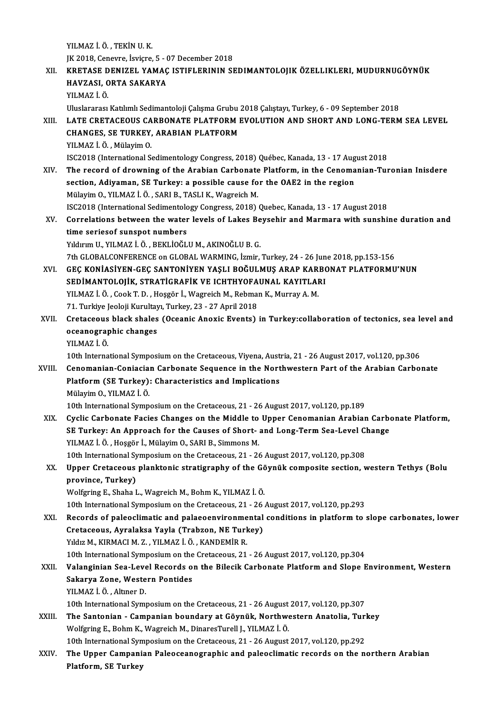YILMAZ İ.Ö. ,TEKİNU.K. YILMAZ İ. Ö. , TEKİN U. K.<br>JK 2018, Cenevre, İsviçre, 5 - 07 December 2018<br>KRETASE DENIZEL XAMAÇ ISTIELERININ SI YILMAZ İ. Ö. , TEKİN U. K.<br>JK 2018, Cenevre, İsviçre, 5 - 07 December 2018<br>XII. KRETASE DENIZEL YAMAÇ ISTIFLERININ SEDIMANTOLOJIK ÖZELLIKLERI, MUDURNUGÖYNÜK<br>HAVZASL OPTA SAKARYA JK 2018, Cenevre, İsviçre, 5 - (<br>KRETASE DENIZEL YAMAÇ<br>HAVZASI, ORTA SAKARYA<br>VILMAZ İ. Ö KRETASE D<br>HAVZASI, C<br>YILMAZ İ. Ö.<br>Uluslararası HAVZASI, ORTA SAKARYA<br>1991 - YILMAZ İ. Ö.<br>Uluslararası Katılımlı Sedimantoloji Çalışma Grubu 2018 Çalıştayı, Turkey, 6 - 09 September 2018 YILMAZ İ. Ö.<br>Uluslararası Katılımlı Sedimantoloji Çalışma Grubu 2018 Çalıştayı, Turkey, 6 - 09 September 2018<br>XIII. LATE CRETACEOUS CARBONATE PLATFORM EVOLUTION AND SHORT AND LONG-TERM SEA LEVEL<br>CHANCES, SE TURKEY Uluslararası Katılımlı Sedimantoloji Çalışma Grubu<br>LATE CRETACEOUS CARBONATE PLATFORM I<br>CHANGES, SE TURKEY, ARABIAN PLATFORM<br>VILMAZİÖ Mülayim Q LATE CRETACEOUS CA<br>CHANGES, SE TURKEY,<br>YILMAZ İ. Ö. , Mülayim O.<br>ISC2019 (International S CHANGES, SE TURKEY, ARABIAN PLATFORM<br>YILMAZ İ. Ö. , Mülayim O.<br>ISC2018 (International Sedimentology Congress, 2018) Québec, Kanada, 13 - 17 August 2018<br>The reserd of drewning of the Arabian Cerbenate Platform, in the Conom YILMAZ İ. Ö. , Mülayim O.<br>ISC2018 (International Sedimentology Congress, 2018) Québec, Kanada, 13 - 17 August 2018<br>XIV. The record of drowning of the Arabian Carbonate Platform, in the Cenomanian-Turonian Inisdere<br>section. ISC2018 (International Sedimentology Congress, 2018) Québec, Kanada, 13 - 17 Aug<br>The record of drowning of the Arabian Carbonate Platform, in the Cenoma<br>section, Adiyaman, SE Turkey: a possible cause for the OAE2 in the re The record of drowning of the Arabian Carbonate Platform, in the Cenomanian-Turonian Inisdere<br>section, Adiyaman, SE Turkey: a possible cause for the OAE2 in the region<br>Mülayim O., YILMAZ İ.Ö., SARI B., TASLI K., Wagreich M section, Adiyaman, SE Turkey: a possible cause for the OAE2 in the region<br>Mülayim O., YILMAZ İ. Ö. , SARI B., TASLI K., Wagreich M.<br>ISC2018 (International Sedimentology Congress, 2018) Quebec, Kanada, 13 - 17 August 2018<br>C Mülayim O., YILMAZ İ. Ö. , SARI B., TASLI K., Wagreich M.<br>ISC2018 (International Sedimentology Congress, 2018) Quebec, Kanada, 13 - 17 August 2018<br>XV. Correlations between the water levels of Lakes Beysehir and Marmara ISC2018 (International Sedimentolo<br>Correlations between the water<br>time seriesof sunspot numbers<br>Viduum II, VII MAZ i Ö, BEVI İQČI Correlations between the water levels of Lakes Be<br>time seriesof sunspot numbers<br>Yıldırım U., YILMAZ İ.Ö., BEKLİOĞLU M., AKINOĞLU B. G.<br>7th CLOBALCONEERENCE on CLOBAL WARMING İzmin time seriesof sunspot numbers<br>Yıldırım U., YILMAZ İ. Ö. , BEKLİOĞLU M., AKINOĞLU B. G.<br>7th GLOBALCONFERENCE on GLOBAL WARMING, İzmir, Turkey, 24 - 26 June 2018, pp.153-156 Yıldırım U., YILMAZ İ. Ö. , BEKLİOĞLU M., AKINOĞLU B. G.<br>7th GLOBALCONFERENCE on GLOBAL WARMING, İzmir, Turkey, 24 - 26 June 2018, pp.153-156<br>8TRIMANTOLOJIK, STRATICRAFIK VE ICHTHYOFAJINAL KAYITLARI 7th GLOBALCONFERENCE on GLOBAL WARMING, İzmir, Turkey, 24 - 26 Jun<br>GEÇ KONİASİYEN-GEÇ SANTONİYEN YAŞLI BOĞULMUŞ ARAP KARBO<br>SEDİMANTOLOJİK, STRATİGRAFİK VE ICHTHYOFAUNAL KAYITLARI<br>VILMAZİ Ö. Cook T.D., Hoször İ. Wasyojsk M. GEÇ KONİASİYEN-GEÇ SANTONİYEN YAŞLI BOĞULMUŞ ARAP KAR<br>SEDİMANTOLOJİK, STRATİGRAFİK VE ICHTHYOFAUNAL KAYITLAI<br>YILMAZ İ. Ö. , Cook T. D. , Hoşgör İ., Wagreich M., Rebman K., Murray A. M.<br>71. Turkiye Jeoloji Kurultan Turkey, SEDİMANTOLOJİK, STRATİGRAFİK VE ICHTHYOFAUNAL KAYITLARI<br>YILMAZ İ. Ö. , Cook T. D. , Hoşgör İ., Wagreich M., Rebman K., Murray A. M.<br>71. Turkiye Jeoloji Kurultayı, Turkey, 23 - 27 April 2018 YILMAZ İ. Ö. , Cook T. D. , Hoşgör İ., Wagreich M., Rebman K., Murray A. M.<br>71. Turkiye Jeoloji Kurultayı, Turkey, 23 - 27 April 2018<br>XVII. Cretaceous black shales (Oceanic Anoxic Events) in Turkey:collaboration of tec 71. Turkiye Jeoloji Kurultay<br>Cretaceous black shales<br>oceanographic changes<br>YU MA7 i Ö Cretaceous<br>oceanograp<br>YILMAZ İ. Ö.<br>10th Interna oceanographic changes<br>YILMAZ İ. Ö.<br>10th International Symposium on the Cretaceous, Viyena, Austria, 21 - 26 August 2017, vol.120, pp.306<br>Conomanian Conjagian Carbonata Seguence in the Northwestern Part of the Arabian Carbo YILMAZ İ. Ö.<br>10th International Symposium on the Cretaceous, Viyena, Austria, 21 - 26 August 2017, vol.120, pp.306<br>XVIII. Cenomanian-Coniacian Carbonate Sequence in the Northwestern Part of the Arabian Carbonate<br>Platform ( 10th International Symposium on the Cretaceous, Viyena, Aust<br>Cenomanian-Coniacian Carbonate Sequence in the Nort<br>Platform (SE Turkey): Characteristics and Implications<br>Mülavim O, VII MA7 i Ö MülayimO.,YILMAZ İ.Ö. 10th International Symposium on the Cretaceous, 21 - 26 August 2017, vol.120, pp.189 XIX. Cyclic Carbonate Facies Changes on theMiddle to Upper Cenomanian Arabian Carbonate Platform, 10th International Symposium on the Cretaceous, 21 - 26 August 2017, vol.120, pp.189<br>Cyclic Carbonate Facies Changes on the Middle to Upper Cenomanian Arabian Carbo<br>SE Turkey: An Approach for the Causes of Short- and Long-Cyclic Carbonate Facies Changes on the Middle to<br>SE Turkey: An Approach for the Causes of Short-<br>YILMAZ İ.Ö., Hoşgör İ., Mülayim O., SARI B., Simmons M.<br>10th International Sumnosium on the Cratesseus 21, 24 SE Turkey: An Approach for the Causes of Short- and Long-Term Sea-Level C<br>10th International Symposium on the Cretaceous, 21 - 26 August 2017, vol.120, pp.308<br>10th International Symposium on the Cretaceous, 21 - 26 August YILMAZ İ. Ö. , Hoşgör İ., Mülayim O., SARI B., Simmons M.<br>10th International Symposium on the Cretaceous, 21 - 26 August 2017, vol.120, pp.308<br>XX. Upper Cretaceous planktonic stratigraphy of the Göynük composite section, w 10th International Sy<br>Upper Cretaceous<br>province, Turkey)<br>Welfgring E. Shabe I Upper Cretaceous planktonic stratigraphy of the Gö<br>province, Turkey)<br>Wolfgring E., Shaha L., Wagreich M., Bohm K., YILMAZ İ. Ö.<br>10th International Symposium on the Cretaseous 21, 26 province, Turkey)<br>Wolfgring E., Shaha L., Wagreich M., Bohm K., YILMAZ İ. Ö.<br>10th International Symposium on the Cretaceous, 21 - 26 August 2017, vol.120, pp.293<br>Becards of paleoglimatic and palaeoenvironmental conditions Wolfgring E., Shaha L., Wagreich M., Bohm K., YILMAZ İ. Ö.<br>10th International Symposium on the Cretaceous, 21 - 26 August 2017, vol.120, pp.293<br>XXI. Records of paleoclimatic and palaeoenvironmental conditions in platform t 10th International Symposium on the Cretaceous, 21 - 26<br>Records of paleoclimatic and palaeoenvironmental<br>Cretaceous, Ayralaksa Yayla (Trabzon, NE Turkey)<br>Vidiz M. KIPMACLM 7 - VILMAZ LÖ, KANDEMIP P Yıldız M., KIRMACI M. Z., YILMAZ İ. Ö., KANDEMİR R. Cretaceous, Ayralaksa Yayla (Trabzon, NE Turkey)<br>Yıldız M., KIRMACI M. Z. , YILMAZ İ. Ö. , KANDEMİR R.<br>10th International Symposium on the Cretaceous, 21 - 26 August 2017, vol.120, pp.304<br>Valanginian Sea Level Beserds en t Yıldız M., KIRMACI M. Z. , YILMAZ İ. Ö. , KANDEMİR R.<br>10th International Symposium on the Cretaceous, 21 - 26 August 2017, vol.120, pp.304<br>XXII. Valanginian Sea-Level Records on the Bilecik Carbonate Platform and Slope 10th International Symposium on the<br>Valanginian Sea-Level Records of<br>Sakarya Zone, Western Pontides<br>VII MAZ İ.Ö. Altner D Valanginian Sea-Leve<br>Sakarya Zone, Weste<br>YILMAZ İ.Ö., Altıner D.<br>10th International Sumi Sakarya Zone, Western Pontides<br>YILMAZ İ. Ö. , Altıner D.<br>10th International Symposium on the Cretaceous, 21 - 26 August 2017, vol.120, pp.307<br>The Sentenian - Componion boundany at Cöynük, Nexthwestern Anatolia, Turl YILMAZ İ. Ö. , Altmer D.<br>10th International Symposium on the Cretaceous, 21 - 26 August 2017, vol.120, pp.307<br>XXIII. The Santonian - Campanian boundary at Göynük, Northwestern Anatolia, Turkey 10th International Symposium on the Cretaceous, 21 - 26 August<br>The Santonian - Campanian boundary at Göynük, Northwe<br>Wolfgring E., Bohm K., Wagreich M., DinaresTurell J., YILMAZ İ.Ö.<br>10th International Symposium on the Cre The Santonian - Campanian boundary at Göynük, Northwestern Anatolia, Turl<br>Wolfgring E., Bohm K., Wagreich M., DinaresTurell J., YILMAZ İ. Ö.<br>10th International Symposium on the Cretaceous, 21 - 26 August 2017, vol.120, pp. Wolfgring E., Bohm K., Wagreich M., DinaresTurell J., YILMAZ İ. Ö.<br>10th International Symposium on the Cretaceous, 21 - 26 August 2017, vol.120, pp.292<br>XXIV. The Upper Campanian Paleoceanographic and paleoclimatic records 10th International Syn<br>The Upper Campani<br>Platform, SE Turkey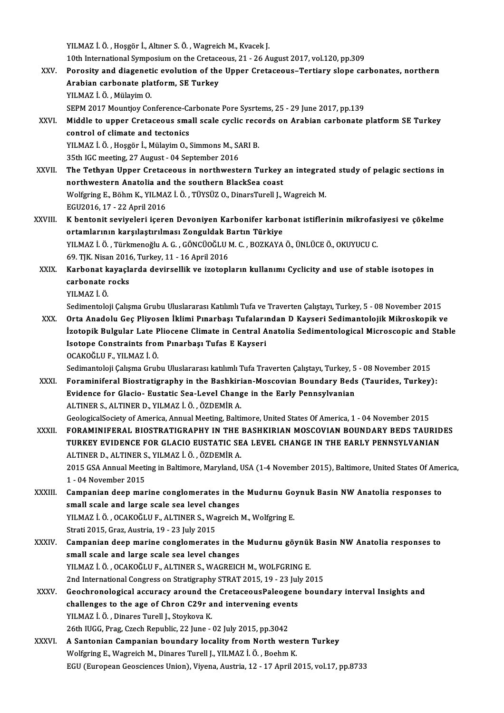YILMAZ İ.Ö., Hoşgör İ., Altıner S.Ö., Wagreich M., Kvacek J.

11.<br>10th International Symposium on the Cretaceous, 21 - 26 August 2017, vol.120, pp.309<br>Renesity and diagonatis evolution of the Unner Cretaseous, Tertiany clone sex

- YILMAZ İ. Ö. , Hoşgör İ., Altıner S. Ö. , Wagreich M., Kvacek J.<br>10th International Symposium on the Cretaceous, 21 26 August 2017, vol.120, pp.309<br>XXV. Porosity and diagenetic evolution of the Upper Cretaceous–Tertiary 10th International Symposium on the Cretace<br>Porosity and diagenetic evolution of the<br>Arabian carbonate platform, SE Turkey<br>VII MAZ İ Ö. Mülayim O Porosity and diagenet<br>Arabian carbonate pla<br>YILMAZ İ.Ö., Mülayim O.<br>SEBM 2017 Mountiov Co Arabian carbonate platform, SE Turkey<br>1990 - YILMAZ İ. Ö. , Mülayim O.<br>SEPM 2017 Mountjoy Conference-Carbonate Pore Sysrtems, 25 - 29 June 2017, pp.139 YILMAZ İ. Ö. , Mülayim O.<br>SEPM 2017 Mountjoy Conference-Carbonate Pore Sysrtems, 25 - 29 June 2017, pp.139<br>XXVI. Middle to upper Cretaceous small scale cyclic records on Arabian carbonate platform SE Turkey<br>control of clim
- SEPM 2017 Mountjoy Conference-Canadidle to upper Cretaceous sman control of climate and tectonics Middle to upper Cretaceous small scale cyclic recontrol of climate and tectonics<br>YILMAZ İ.Ö., Hoşgör İ., Mülayim O., Simmons M., SARI B. control of climate and tectonics<br>35th IGC meeting, 27 August - 04 September 2016<br>35th IGC meeting, 27 August - 04 September 2016

- YILMAZ İ. Ö. , Hoşgör İ., Mülayim O., Simmons M., SARI B.<br>35th IGC meeting, 27 August 04 September 2016<br>XXVII. The Tethyan Upper Cretaceous in northwestern Turkey an integrated study of pelagic sections in 35th IGC meeting, 27 August - 04 September 2016<br>The Tethyan Upper Cretaceous in northwestern Turkey<br>northwestern Anatolia and the southern BlackSea coast<br>Welfaring E. Böhm K. VII MAZ İ. Ö. TÜVSÜZ O. DinaraTurell L. northwestern Anatolia and the southern BlackSea coast<br>Wolfgring E., Böhm K., YILMAZ İ. Ö. , TÜYSÜZ O., DinarsTurell J., Wagreich M. EGU2016,17 -22April2016 Wolfgring E., Böhm K., YILMAZ İ. Ö. , TÜYSÜZ O., DinarsTurell J., Wagreich M.<br>EGU2016, 17 - 22 April 2016<br>XXVIII. K bentonit seviyeleri içeren Devoniyen Karbonifer karbonat istiflerinin mikrofasiyesi ve çökelme
- EGU2016, 17 22 April 2016<br>K bentonit seviyeleri içeren Devoniyen Karbonifer karbe<br>ortamlarının karşılaştırılması Zonguldak Bartın Türkiye<br>YU MAZİÖ, Türkmanağlu A.C. GÖNCÜQĞLUM G. BOZKAYA K bentonit seviyeleri içeren Devoniyen Karbonifer karbonat istiflerinin mikrofas<br>ortamlarının karşılaştırılması Zonguldak Bartın Türkiye<br>YILMAZ İ. Ö. , Türkmenoğlu A. G. , GÖNCÜOĞLU M. C. , BOZKAYA Ö., ÜNLÜCE Ö., OKUYUCU C ortamlarının karşılaştırılması Zonguldak Bartın Türkiye<br>YILMAZ İ. Ö. , Türkmenoğlu A. G. , GÖNCÜOĞLU M. C. , BOZKAYA Ö., ÜNLÜCE Ö., OKUYUCU C.<br>69. T|K. Nisan 2016, Turkey, 11 - 16 April 2016 YILMAZ İ. Ö. , Türkmenoğlu A. G. , GÖNCÜOĞLU M. C. , BOZKAYA Ö., ÜNLÜCE Ö., OKUYUCU C.<br>69. TJK. Nisan 2016, Turkey, 11 - 16 April 2016<br>XXIX. Karbonat kayaçlarda devirsellik ve izotopların kullanımı Cyclicity and use of
- 69. TJK. Nisan 2016<br>Karbonat kayaçla<br>carbonate rocks<br>vu M47 i Ö Karbonat k<br>carbonate<br>YILMAZ İ. Ö.<br>Sedimentele carbonate rocks<br>YILMAZ İ. Ö.<br>Sedimentoloji Çalışma Grubu Uluslararası Katılımlı Tufa ve Traverten Çalıştayı, Turkey, 5 - 08 November 2015

XILMAZ İ. Ö.<br>Sedimentoloji Çalışma Grubu Uluslararası Katılımlı Tufa ve Traverten Çalıştayı, Turkey, 5 - 08 November 2015<br>XXX. Orta Anadolu Geç Pliyosen İklimi Pınarbaşı Tufalarından D Kayseri Sedimantolojik Mikroskopi Sedimentoloji Çalışma Grubu Uluslararası Katılımlı Tufa ve Traverten Çalıştayı, Turkey, 5 - 08 November 2015<br>Orta Anadolu Geç Pliyosen İklimi Pınarbaşı Tufalarından D Kayseri Sedimantolojik Mikroskopik ve<br>İzotopik Bulgular Orta Anadolu Geç Pliyosen İklimi Pınarbaşı Tufaları<br>İzotopik Bulgular Late Pliocene Climate in Central A<br>Isotope Constraints from Pınarbaşı Tufas E Kayseri<br>OCAKOČLUE YUMAZİÖ İzotopik Bulgular Late P<br>Isotope Constraints from<br>OCAKOĞLU F., YILMAZ İ. Ö.<br>Sedimantaleji Caluma Crub Isotope Constraints from Pınarbaşı Tufas E Kayseri<br>OCAKOĞLU F., YILMAZ İ. Ö.<br>Sedimantoloji Çalışma Grubu Uluslararası katılımlı Tufa Traverten Çalıştayı, Turkey, 5 - 08 November 2015

XXXI. Foraminiferal Biostratigraphy in the Bashkirian-Moscovian Boundary Beds (Taurides, Turkey): Sedimantoloji Çalışma Grubu Uluslararası katılımlı Tufa Traverten Çalıştayı, Turkey, 5<br>Foraminiferal Biostratigraphy in the Bashkirian-Moscovian Boundary Beds<br>Evidence for Glacio- Eustatic Sea-Level Change in the Early Pen Foraminiferal Biostratigraphy in the Bashkiri<br>Evidence for Glacio- Eustatic Sea-Level Chang<br>ALTINER S., ALTINER D., YILMAZ İ. Ö. , ÖZDEMİR A.<br>CealagisalSesisty of America Annual Mesting Balti ALTINER S., ALTINER D., YILMAZ İ. Ö. , ÖZDEMİR A.<br>GeologicalSociety of America, Annual Meeting, Baltimore, United States Of America, 1 - 04 November 2015 ALTINER S., ALTINER D., YILMAZ İ. Ö. , ÖZDEMİR A.<br>GeologicalSociety of America, Annual Meeting, Baltimore, United States Of America, 1 - 04 November 2015<br>XXXII. FORAMINIFERAL BIOSTRATIGRAPHY IN THE BASHKIRIAN MOSCOVIAN

GeologicalSociety of America, Annual Meeting, Baltimore, United States Of America, 1 - 04 November 2015<br>FORAMINIFERAL BIOSTRATIGRAPHY IN THE BASHKIRIAN MOSCOVIAN BOUNDARY BEDS TAURID<br>TURKEY EVIDENCE FOR GLACIO EUSTATIC SEA TURKEY EVIDENCE FOR GLACIO EUSTATIC SEA LEVEL CHANGE IN THE EARLY PENNSYLVANIAN<br>ALTINER D., ALTINER S., YILMAZ İ. Ö. , ÖZDEMİR A. TURKEY EVIDENCE FOR GLACIO EUSTATIC SEA LEVEL CHANGE IN THE EARLY PENNSYLVANIAN<br>ALTINER D., ALTINER S., YILMAZ İ. Ö. , ÖZDEMİR A.<br>2015 GSA Annual Meeting in Baltimore, Maryland, USA (1-4 November 2015), Baltimore, United S

ALTINER D., ALTINER S<br>2015 GSA Annual Meeti<br>1 - 04 November 2015<br>Campanian daan man 1 - 04 November 2015<br>XXXIII. Campanian deep marine conglomerates in the Mudurnu Goynuk Basin NW Anatolia responses to

small scale and large scale sea level changes Campanian deep marine conglomerates in the Mudurnu Go<br>small scale and large scale sea level changes<br>YILMAZ İ. Ö. , OCAKOĞLU F., ALTINER S., Wagreich M., Wolfgring E.<br>Strati 2015, Craz, Austria 19, 22 July 2015 small scale and large scale sea level ch<br>YILMAZ İ. Ö. , OCAKOĞLU F., ALTINER S., Wa<br>Strati 2015, Graz, Austria, 19 - 23 July 2015<br>Campanian deen marine senglemerates

- YILMAZ İ. Ö. , OCAKOĞLU F., ALTINER S., Wagreich M., Wolfgring E.<br>Strati 2015, Graz, Austria, 19 23 July 2015<br>XXXIV. Campanian deep marine conglomerates in the Mudurnu göynük Basin NW Anatolia responses to<br>small seal Strati 2015, Graz, Austria, 19 - 23 July 2015<br>Campanian deep marine conglomerates in the<br>small scale and large scale sea level changes<br>VILMAZI ÖLOCAKOĞLUE ALTINER S WACREIC Campanian deep marine conglomerates in the Mudurnu göynük<br>small scale and large scale sea level changes<br>YILMAZ İ.Ö., OCAKOĞLU F., ALTINER S., WAGREICH M., WOLFGRING E.<br>2nd International Congress on Stratigraphy STP 4T 2015 small scale and large scale sea level changes<br>2nd International Congress on Stratigraphy STRAT 2015, 19 - 23 July 2015<br>2nd International Congress on Stratigraphy STRAT 2015, 19 - 23 July 2015<br>Coochronalogisel acquiresy aro YILMAZ İ. Ö. , OCAKOĞLU F., ALTINER S., WAGREICH M., WOLFGRING E.<br>2nd International Congress on Stratigraphy STRAT 2015, 19 - 23 July 2015<br>XXXV. Geochronological accuracy around the CretaceousPaleogene boundary interva
- 2nd International Congress on Stratigraphy STRAT 2015, 19 23 July<br>Geochronological accuracy around the CretaceousPaleogene<br>challenges to the age of Chron C29r and intervening events<br>VII MAZ İ.Ö. Dinaree Turall I. Staylov YILMAZ İ. Ö. , Dinares Turell J., Stoykova K.<br>26th IUGG, Prag, Czech Republic, 22 June - 02 July 2015, pp.3042 challenges to the age of Chron C29r and intervening events
- XXXVI. A Santonian Campanian boundary locality from North western Turkey Wolfgring E., Wagreich M., Dinares Turell J., YILMAZ İ.Ö., Boehm K. EGU (European Geosciences Union), Viyena, Austria, 12 - 17 April 2015, vol.17, pp.8733